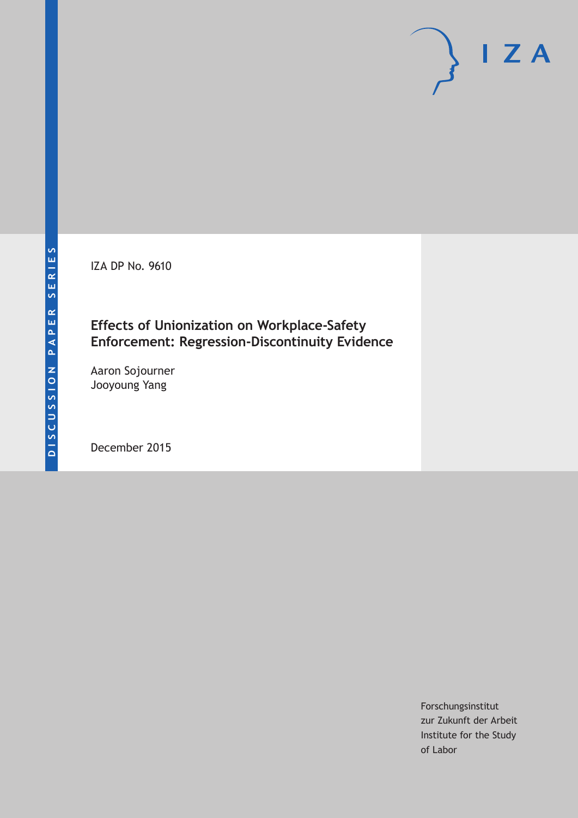IZA DP No. 9610

# **Effects of Unionization on Workplace-Safety Enforcement: Regression-Discontinuity Evidence**

Aaron Sojourner Jooyoung Yang

December 2015

Forschungsinstitut zur Zukunft der Arbeit Institute for the Study of Labor

 $I Z A$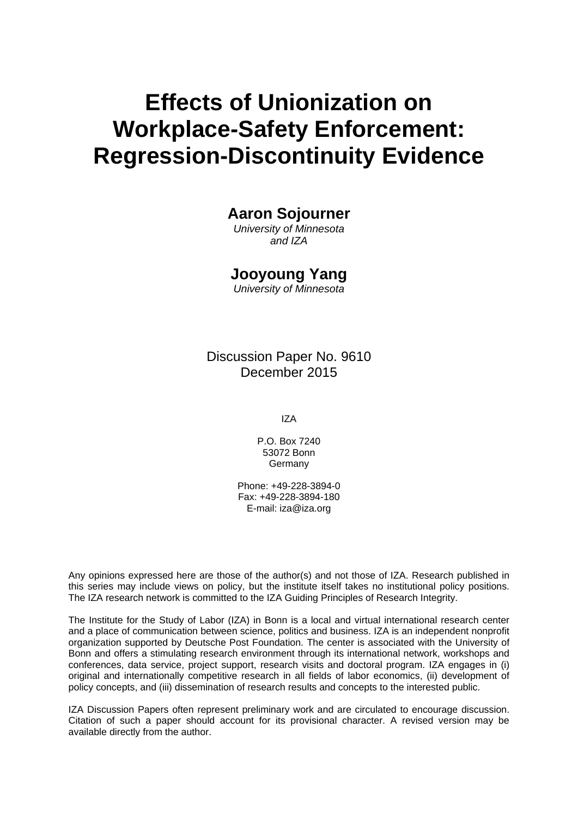# **Effects of Unionization on Workplace-Safety Enforcement: Regression-Discontinuity Evidence**

## **Aaron Sojourner**

*University of Minnesota and IZA* 

### **Jooyoung Yang**

*University of Minnesota* 

Discussion Paper No. 9610 December 2015

IZA

P.O. Box 7240 53072 Bonn Germany

Phone: +49-228-3894-0 Fax: +49-228-3894-180 E-mail: iza@iza.org

Any opinions expressed here are those of the author(s) and not those of IZA. Research published in this series may include views on policy, but the institute itself takes no institutional policy positions. The IZA research network is committed to the IZA Guiding Principles of Research Integrity.

The Institute for the Study of Labor (IZA) in Bonn is a local and virtual international research center and a place of communication between science, politics and business. IZA is an independent nonprofit organization supported by Deutsche Post Foundation. The center is associated with the University of Bonn and offers a stimulating research environment through its international network, workshops and conferences, data service, project support, research visits and doctoral program. IZA engages in (i) original and internationally competitive research in all fields of labor economics, (ii) development of policy concepts, and (iii) dissemination of research results and concepts to the interested public.

IZA Discussion Papers often represent preliminary work and are circulated to encourage discussion. Citation of such a paper should account for its provisional character. A revised version may be available directly from the author.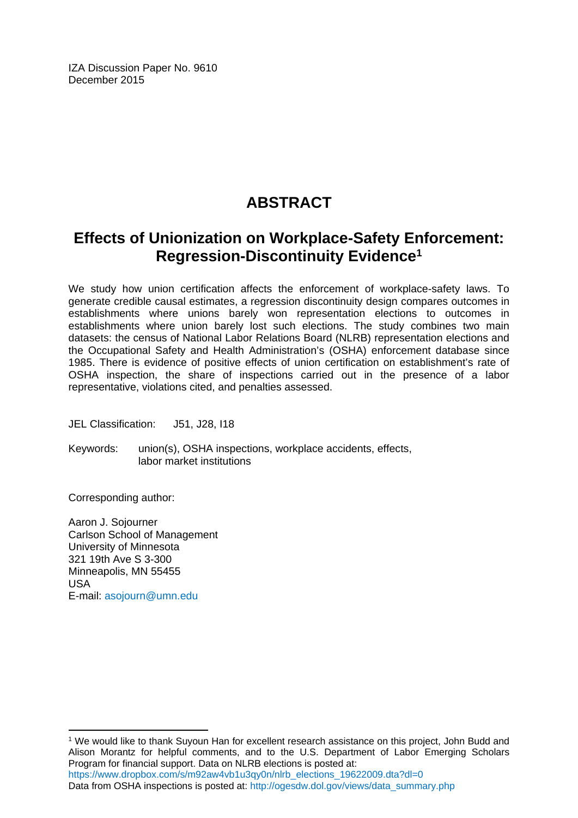IZA Discussion Paper No. 9610 December 2015

# **ABSTRACT**

# **Effects of Unionization on Workplace-Safety Enforcement: Regression-Discontinuity Evidence1**

We study how union certification affects the enforcement of workplace-safety laws. To generate credible causal estimates, a regression discontinuity design compares outcomes in establishments where unions barely won representation elections to outcomes in establishments where union barely lost such elections. The study combines two main datasets: the census of National Labor Relations Board (NLRB) representation elections and the Occupational Safety and Health Administration's (OSHA) enforcement database since 1985. There is evidence of positive effects of union certification on establishment's rate of OSHA inspection, the share of inspections carried out in the presence of a labor representative, violations cited, and penalties assessed.

JEL Classification: J51, J28, I18

Keywords: union(s), OSHA inspections, workplace accidents, effects, labor market institutions

Corresponding author:

 $\overline{a}$ 

Aaron J. Sojourner Carlson School of Management University of Minnesota 321 19th Ave S 3-300 Minneapolis, MN 55455 USA E-mail: asojourn@umn.edu

<sup>1</sup> We would like to thank Suyoun Han for excellent research assistance on this project, John Budd and Alison Morantz for helpful comments, and to the U.S. Department of Labor Emerging Scholars Program for financial support. Data on NLRB elections is posted at: https://www.dropbox.com/s/m92aw4vb1u3qy0n/nlrb\_elections\_19622009.dta?dl=0 Data from OSHA inspections is posted at: http://ogesdw.dol.gov/views/data\_summary.php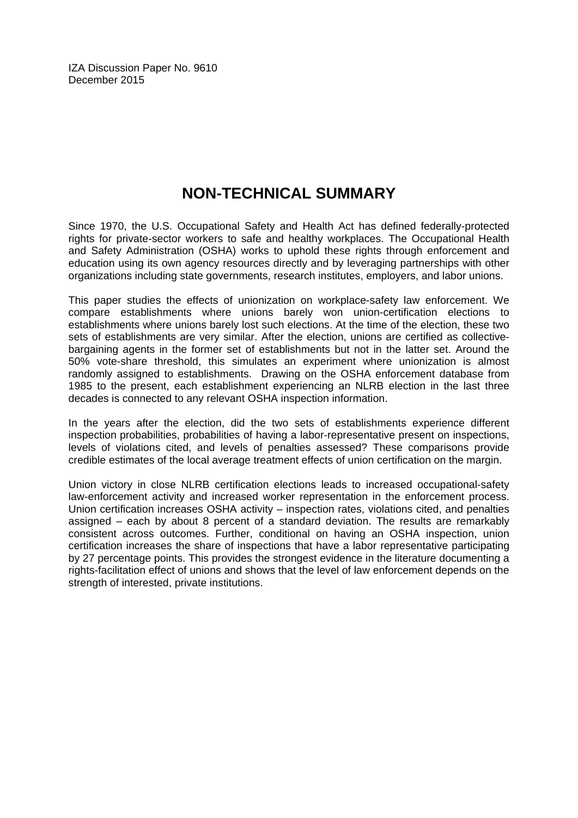IZA Discussion Paper No. 9610 December 2015

# **NON-TECHNICAL SUMMARY**

Since 1970, the U.S. Occupational Safety and Health Act has defined federally-protected rights for private-sector workers to safe and healthy workplaces. The Occupational Health and Safety Administration (OSHA) works to uphold these rights through enforcement and education using its own agency resources directly and by leveraging partnerships with other organizations including state governments, research institutes, employers, and labor unions.

This paper studies the effects of unionization on workplace-safety law enforcement. We compare establishments where unions barely won union-certification elections to establishments where unions barely lost such elections. At the time of the election, these two sets of establishments are very similar. After the election, unions are certified as collectivebargaining agents in the former set of establishments but not in the latter set. Around the 50% vote-share threshold, this simulates an experiment where unionization is almost randomly assigned to establishments. Drawing on the OSHA enforcement database from 1985 to the present, each establishment experiencing an NLRB election in the last three decades is connected to any relevant OSHA inspection information.

In the years after the election, did the two sets of establishments experience different inspection probabilities, probabilities of having a labor-representative present on inspections, levels of violations cited, and levels of penalties assessed? These comparisons provide credible estimates of the local average treatment effects of union certification on the margin.

Union victory in close NLRB certification elections leads to increased occupational-safety law-enforcement activity and increased worker representation in the enforcement process. Union certification increases OSHA activity – inspection rates, violations cited, and penalties assigned – each by about 8 percent of a standard deviation. The results are remarkably consistent across outcomes. Further, conditional on having an OSHA inspection, union certification increases the share of inspections that have a labor representative participating by 27 percentage points. This provides the strongest evidence in the literature documenting a rights-facilitation effect of unions and shows that the level of law enforcement depends on the strength of interested, private institutions.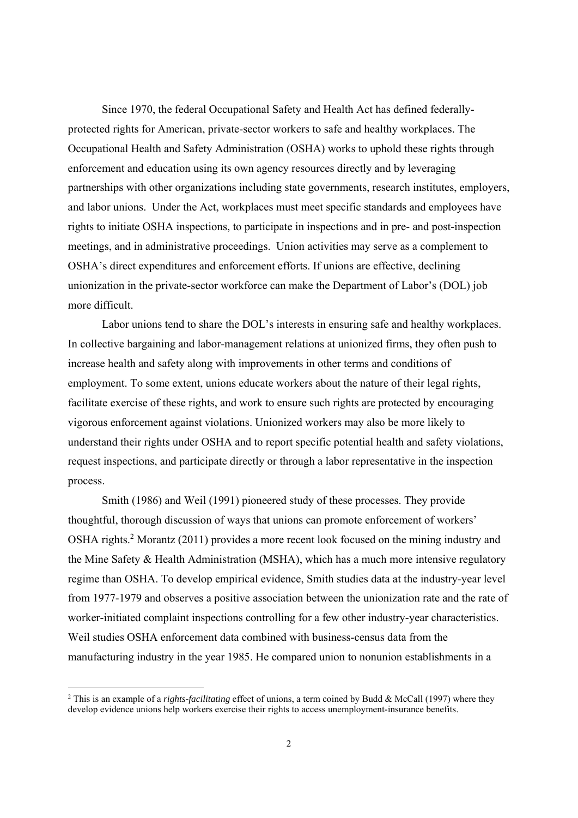Since 1970, the federal Occupational Safety and Health Act has defined federallyprotected rights for American, private-sector workers to safe and healthy workplaces. The Occupational Health and Safety Administration (OSHA) works to uphold these rights through enforcement and education using its own agency resources directly and by leveraging partnerships with other organizations including state governments, research institutes, employers, and labor unions. Under the Act, workplaces must meet specific standards and employees have rights to initiate OSHA inspections, to participate in inspections and in pre- and post-inspection meetings, and in administrative proceedings. Union activities may serve as a complement to OSHA's direct expenditures and enforcement efforts. If unions are effective, declining unionization in the private-sector workforce can make the Department of Labor's (DOL) job more difficult.

Labor unions tend to share the DOL's interests in ensuring safe and healthy workplaces. In collective bargaining and labor-management relations at unionized firms, they often push to increase health and safety along with improvements in other terms and conditions of employment. To some extent, unions educate workers about the nature of their legal rights, facilitate exercise of these rights, and work to ensure such rights are protected by encouraging vigorous enforcement against violations. Unionized workers may also be more likely to understand their rights under OSHA and to report specific potential health and safety violations, request inspections, and participate directly or through a labor representative in the inspection process.

Smith (1986) and Weil (1991) pioneered study of these processes. They provide thoughtful, thorough discussion of ways that unions can promote enforcement of workers' OSHA rights.<sup>2</sup> Morantz (2011) provides a more recent look focused on the mining industry and the Mine Safety & Health Administration (MSHA), which has a much more intensive regulatory regime than OSHA. To develop empirical evidence, Smith studies data at the industry-year level from 1977-1979 and observes a positive association between the unionization rate and the rate of worker-initiated complaint inspections controlling for a few other industry-year characteristics. Weil studies OSHA enforcement data combined with business-census data from the manufacturing industry in the year 1985. He compared union to nonunion establishments in a

<sup>&</sup>lt;sup>2</sup> This is an example of a *rights-facilitating* effect of unions, a term coined by Budd & McCall (1997) where they develop evidence unions help workers exercise their rights to access unemployment-insurance benefits.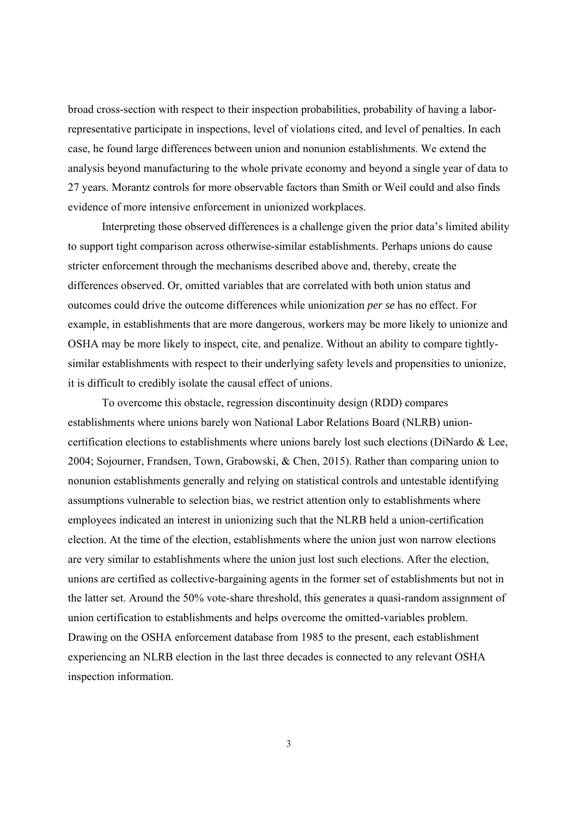broad cross-section with respect to their inspection probabilities, probability of having a laborrepresentative participate in inspections, level of violations cited, and level of penalties. In each case, he found large differences between union and nonunion establishments. We extend the analysis beyond manufacturing to the whole private economy and beyond a single year of data to 27 years. Morantz controls for more observable factors than Smith or Weil could and also finds evidence of more intensive enforcement in unionized workplaces.

Interpreting those observed differences is a challenge given the prior data's limited ability to support tight comparison across otherwise-similar establishments. Perhaps unions do cause stricter enforcement through the mechanisms described above and, thereby, create the differences observed. Or, omitted variables that are correlated with both union status and outcomes could drive the outcome differences while unionization *per se* has no effect. For example, in establishments that are more dangerous, workers may be more likely to unionize and OSHA may be more likely to inspect, cite, and penalize. Without an ability to compare tightlysimilar establishments with respect to their underlying safety levels and propensities to unionize, it is difficult to credibly isolate the causal effect of unions.

To overcome this obstacle, regression discontinuity design (RDD) compares establishments where unions barely won National Labor Relations Board (NLRB) unioncertification elections to establishments where unions barely lost such elections (DiNardo & Lee, 2004; Sojourner, Frandsen, Town, Grabowski, & Chen, 2015). Rather than comparing union to nonunion establishments generally and relying on statistical controls and untestable identifying assumptions vulnerable to selection bias, we restrict attention only to establishments where employees indicated an interest in unionizing such that the NLRB held a union-certification election. At the time of the election, establishments where the union just won narrow elections are very similar to establishments where the union just lost such elections. After the election, unions are certified as collective-bargaining agents in the former set of establishments but not in the latter set. Around the 50% vote-share threshold, this generates a quasi-random assignment of union certification to establishments and helps overcome the omitted-variables problem. Drawing on the OSHA enforcement database from 1985 to the present, each establishment experiencing an NLRB election in the last three decades is connected to any relevant OSHA inspection information.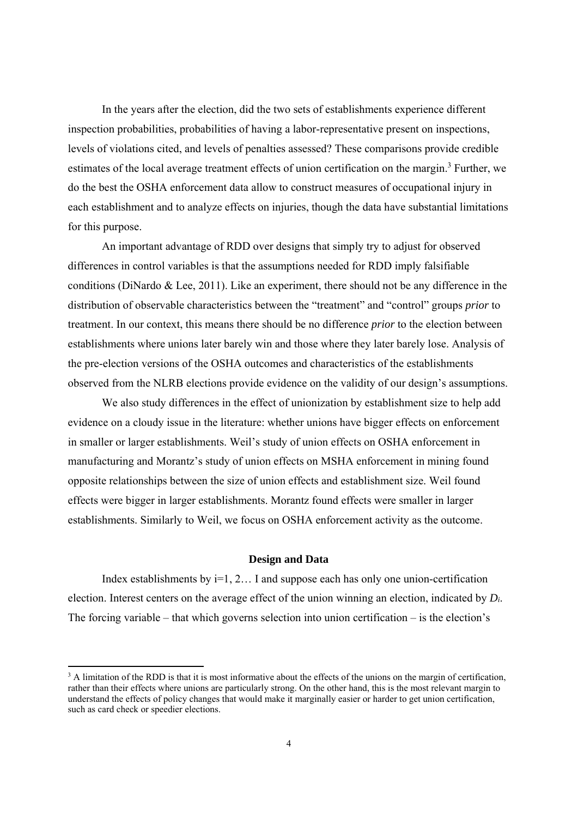In the years after the election, did the two sets of establishments experience different inspection probabilities, probabilities of having a labor-representative present on inspections, levels of violations cited, and levels of penalties assessed? These comparisons provide credible estimates of the local average treatment effects of union certification on the margin.<sup>3</sup> Further, we do the best the OSHA enforcement data allow to construct measures of occupational injury in each establishment and to analyze effects on injuries, though the data have substantial limitations for this purpose.

An important advantage of RDD over designs that simply try to adjust for observed differences in control variables is that the assumptions needed for RDD imply falsifiable conditions (DiNardo & Lee, 2011). Like an experiment, there should not be any difference in the distribution of observable characteristics between the "treatment" and "control" groups *prior* to treatment. In our context, this means there should be no difference *prior* to the election between establishments where unions later barely win and those where they later barely lose. Analysis of the pre-election versions of the OSHA outcomes and characteristics of the establishments observed from the NLRB elections provide evidence on the validity of our design's assumptions.

 We also study differences in the effect of unionization by establishment size to help add evidence on a cloudy issue in the literature: whether unions have bigger effects on enforcement in smaller or larger establishments. Weil's study of union effects on OSHA enforcement in manufacturing and Morantz's study of union effects on MSHA enforcement in mining found opposite relationships between the size of union effects and establishment size. Weil found effects were bigger in larger establishments. Morantz found effects were smaller in larger establishments. Similarly to Weil, we focus on OSHA enforcement activity as the outcome.

#### **Design and Data**

Index establishments by  $i=1, 2...$  I and suppose each has only one union-certification election. Interest centers on the average effect of the union winning an election, indicated by *Di*. The forcing variable – that which governs selection into union certification – is the election's

<sup>&</sup>lt;sup>3</sup> A limitation of the RDD is that it is most informative about the effects of the unions on the margin of certification, rather than their effects where unions are particularly strong. On the other hand, this is the most relevant margin to understand the effects of policy changes that would make it marginally easier or harder to get union certification, such as card check or speedier elections.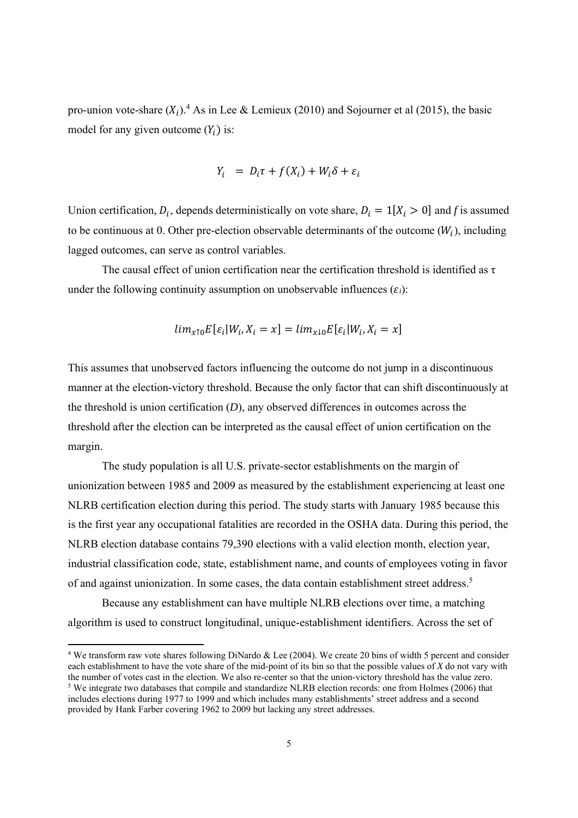pro-union vote-share  $(X_i)$ .<sup>4</sup> As in Lee & Lemieux (2010) and Sojourner et al (2015), the basic model for any given outcome  $(Y_i)$  is:

$$
Y_i = D_i \tau + f(X_i) + W_i \delta + \varepsilon_i
$$

Union certification,  $D_i$ , depends deterministically on vote share,  $D_i = 1[X_i > 0]$  and *f* is assumed to be continuous at 0. Other pre-election observable determinants of the outcome  $(W_i)$ , including lagged outcomes, can serve as control variables.

The causal effect of union certification near the certification threshold is identified as  $\tau$ under the following continuity assumption on unobservable influences  $(\varepsilon_i)$ :

$$
lim_{x\uparrow 0}E[\varepsilon_i|W_i, X_i = x] = lim_{x\downarrow 0}E[\varepsilon_i|W_i, X_i = x]
$$

This assumes that unobserved factors influencing the outcome do not jump in a discontinuous manner at the election-victory threshold. Because the only factor that can shift discontinuously at the threshold is union certification (*D*), any observed differences in outcomes across the threshold after the election can be interpreted as the causal effect of union certification on the margin.

The study population is all U.S. private-sector establishments on the margin of unionization between 1985 and 2009 as measured by the establishment experiencing at least one NLRB certification election during this period. The study starts with January 1985 because this is the first year any occupational fatalities are recorded in the OSHA data. During this period, the NLRB election database contains 79,390 elections with a valid election month, election year, industrial classification code, state, establishment name, and counts of employees voting in favor of and against unionization. In some cases, the data contain establishment street address.5

Because any establishment can have multiple NLRB elections over time, a matching algorithm is used to construct longitudinal, unique-establishment identifiers. Across the set of

<sup>&</sup>lt;sup>4</sup> We transform raw vote shares following DiNardo & Lee (2004). We create 20 bins of width 5 percent and consider each establishment to have the vote share of the mid-point of its bin so that the possible values of *X* do not vary with the number of votes cast in the election. We also re-center so that the union-victory threshold has the value zero. <sup>5</sup> We integrate two databases that compile and standardize NLRB election records: one from Holmes (2006) that includes elections during 1977 to 1999 and which includes many establishments' street address and a second provided by Hank Farber covering 1962 to 2009 but lacking any street addresses.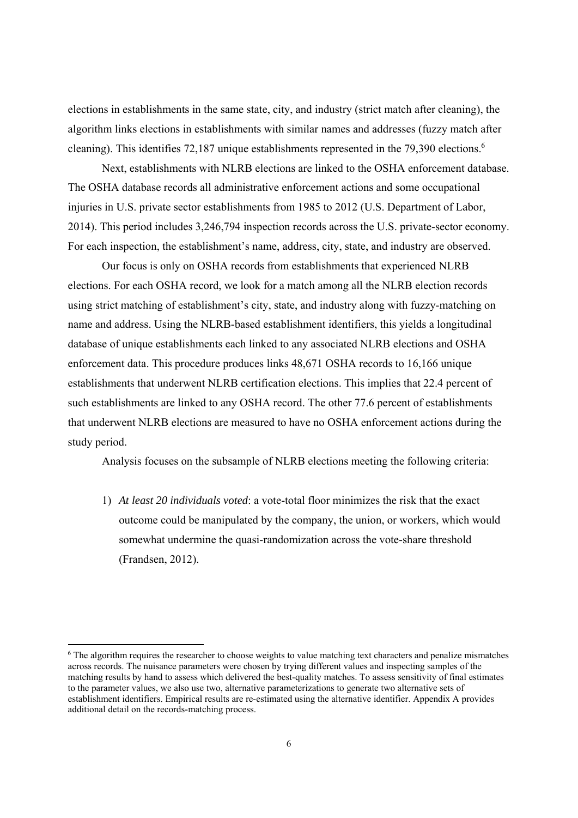elections in establishments in the same state, city, and industry (strict match after cleaning), the algorithm links elections in establishments with similar names and addresses (fuzzy match after cleaning). This identifies 72,187 unique establishments represented in the 79,390 elections.<sup>6</sup>

Next, establishments with NLRB elections are linked to the OSHA enforcement database. The OSHA database records all administrative enforcement actions and some occupational injuries in U.S. private sector establishments from 1985 to 2012 (U.S. Department of Labor, 2014). This period includes 3,246,794 inspection records across the U.S. private-sector economy. For each inspection, the establishment's name, address, city, state, and industry are observed.

Our focus is only on OSHA records from establishments that experienced NLRB elections. For each OSHA record, we look for a match among all the NLRB election records using strict matching of establishment's city, state, and industry along with fuzzy-matching on name and address. Using the NLRB-based establishment identifiers, this yields a longitudinal database of unique establishments each linked to any associated NLRB elections and OSHA enforcement data. This procedure produces links 48,671 OSHA records to 16,166 unique establishments that underwent NLRB certification elections. This implies that 22.4 percent of such establishments are linked to any OSHA record. The other 77.6 percent of establishments that underwent NLRB elections are measured to have no OSHA enforcement actions during the study period.

Analysis focuses on the subsample of NLRB elections meeting the following criteria:

1) *At least 20 individuals voted*: a vote-total floor minimizes the risk that the exact outcome could be manipulated by the company, the union, or workers, which would somewhat undermine the quasi-randomization across the vote-share threshold (Frandsen, 2012).

<sup>6</sup> The algorithm requires the researcher to choose weights to value matching text characters and penalize mismatches across records. The nuisance parameters were chosen by trying different values and inspecting samples of the matching results by hand to assess which delivered the best-quality matches. To assess sensitivity of final estimates to the parameter values, we also use two, alternative parameterizations to generate two alternative sets of establishment identifiers. Empirical results are re-estimated using the alternative identifier. Appendix A provides additional detail on the records-matching process.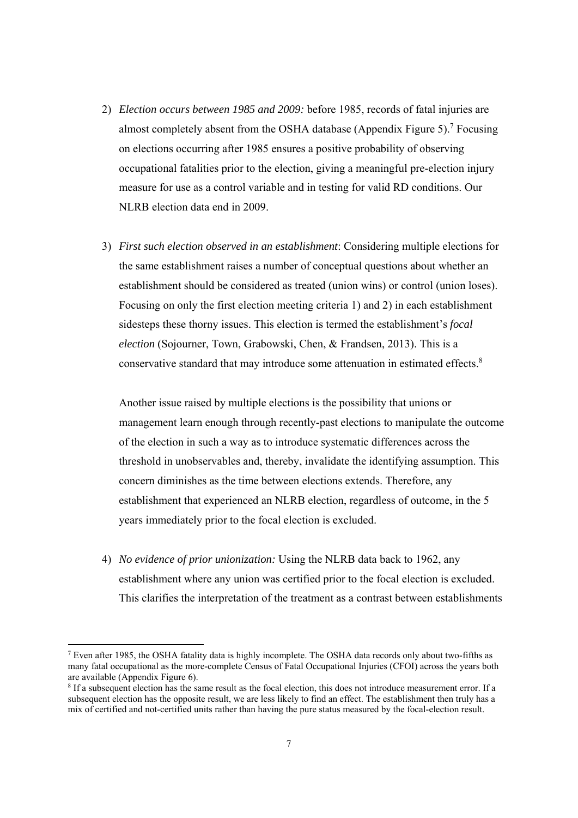- 2) *Election occurs between 1985 and 2009:* before 1985, records of fatal injuries are almost completely absent from the OSHA database (Appendix Figure 5).<sup>7</sup> Focusing on elections occurring after 1985 ensures a positive probability of observing occupational fatalities prior to the election, giving a meaningful pre-election injury measure for use as a control variable and in testing for valid RD conditions. Our NLRB election data end in 2009.
- 3) *First such election observed in an establishment*: Considering multiple elections for the same establishment raises a number of conceptual questions about whether an establishment should be considered as treated (union wins) or control (union loses). Focusing on only the first election meeting criteria 1) and 2) in each establishment sidesteps these thorny issues. This election is termed the establishment's *focal election* (Sojourner, Town, Grabowski, Chen, & Frandsen, 2013). This is a conservative standard that may introduce some attenuation in estimated effects.<sup>8</sup>

Another issue raised by multiple elections is the possibility that unions or management learn enough through recently-past elections to manipulate the outcome of the election in such a way as to introduce systematic differences across the threshold in unobservables and, thereby, invalidate the identifying assumption. This concern diminishes as the time between elections extends. Therefore, any establishment that experienced an NLRB election, regardless of outcome, in the 5 years immediately prior to the focal election is excluded.

4) *No evidence of prior unionization:* Using the NLRB data back to 1962, any establishment where any union was certified prior to the focal election is excluded. This clarifies the interpretation of the treatment as a contrast between establishments

 $<sup>7</sup>$  Even after 1985, the OSHA fatality data is highly incomplete. The OSHA data records only about two-fifths as</sup> many fatal occupational as the more-complete Census of Fatal Occupational Injuries (CFOI) across the years both are available (Appendix Figure 6).

<sup>&</sup>lt;sup>8</sup> If a subsequent election has the same result as the focal election, this does not introduce measurement error. If a subsequent election has the opposite result, we are less likely to find an effect. The establishment then truly has a mix of certified and not-certified units rather than having the pure status measured by the focal-election result.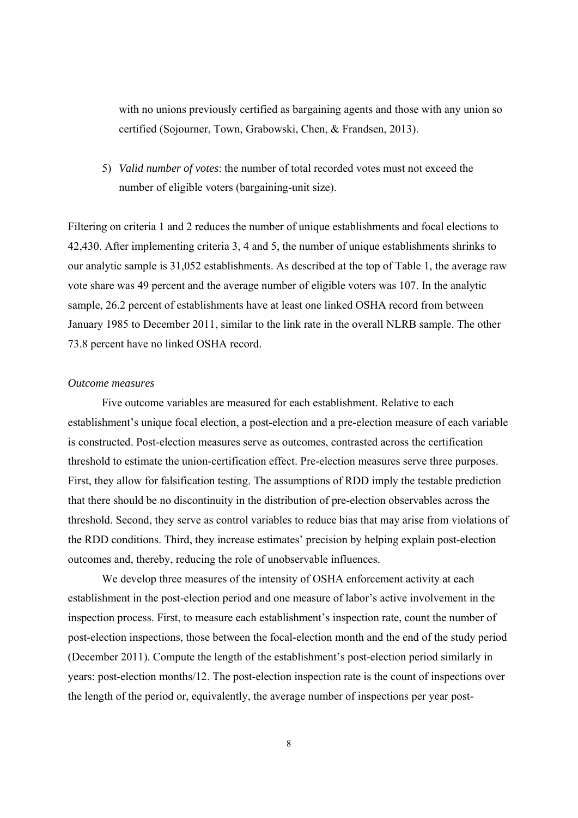with no unions previously certified as bargaining agents and those with any union so certified (Sojourner, Town, Grabowski, Chen, & Frandsen, 2013).

5) *Valid number of votes*: the number of total recorded votes must not exceed the number of eligible voters (bargaining-unit size).

Filtering on criteria 1 and 2 reduces the number of unique establishments and focal elections to 42,430. After implementing criteria 3, 4 and 5, the number of unique establishments shrinks to our analytic sample is 31,052 establishments. As described at the top of Table 1, the average raw vote share was 49 percent and the average number of eligible voters was 107. In the analytic sample, 26.2 percent of establishments have at least one linked OSHA record from between January 1985 to December 2011, similar to the link rate in the overall NLRB sample. The other 73.8 percent have no linked OSHA record.

#### *Outcome measures*

Five outcome variables are measured for each establishment. Relative to each establishment's unique focal election, a post-election and a pre-election measure of each variable is constructed. Post-election measures serve as outcomes, contrasted across the certification threshold to estimate the union-certification effect. Pre-election measures serve three purposes. First, they allow for falsification testing. The assumptions of RDD imply the testable prediction that there should be no discontinuity in the distribution of pre-election observables across the threshold. Second, they serve as control variables to reduce bias that may arise from violations of the RDD conditions. Third, they increase estimates' precision by helping explain post-election outcomes and, thereby, reducing the role of unobservable influences.

We develop three measures of the intensity of OSHA enforcement activity at each establishment in the post-election period and one measure of labor's active involvement in the inspection process. First, to measure each establishment's inspection rate, count the number of post-election inspections, those between the focal-election month and the end of the study period (December 2011). Compute the length of the establishment's post-election period similarly in years: post-election months/12. The post-election inspection rate is the count of inspections over the length of the period or, equivalently, the average number of inspections per year post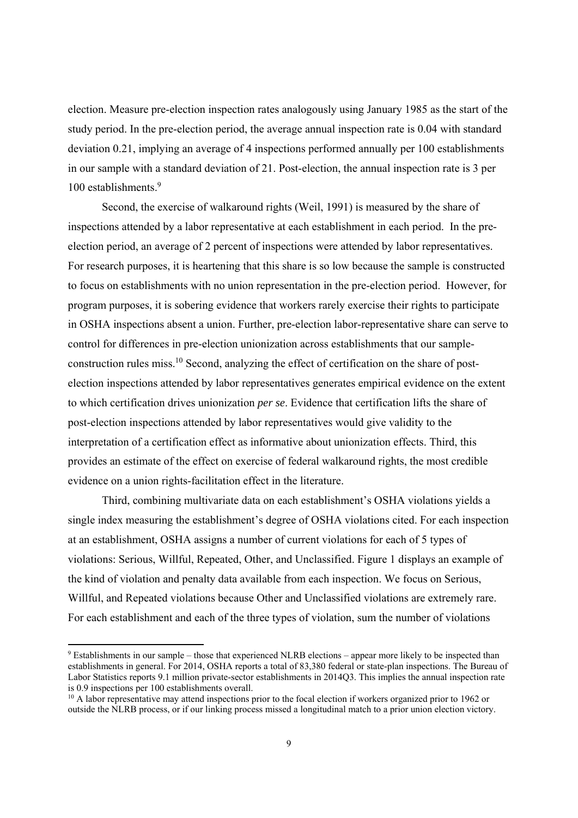election. Measure pre-election inspection rates analogously using January 1985 as the start of the study period. In the pre-election period, the average annual inspection rate is 0.04 with standard deviation 0.21, implying an average of 4 inspections performed annually per 100 establishments in our sample with a standard deviation of 21. Post-election, the annual inspection rate is 3 per 100 establishments.<sup>9</sup>

Second, the exercise of walkaround rights (Weil, 1991) is measured by the share of inspections attended by a labor representative at each establishment in each period. In the preelection period, an average of 2 percent of inspections were attended by labor representatives. For research purposes, it is heartening that this share is so low because the sample is constructed to focus on establishments with no union representation in the pre-election period. However, for program purposes, it is sobering evidence that workers rarely exercise their rights to participate in OSHA inspections absent a union. Further, pre-election labor-representative share can serve to control for differences in pre-election unionization across establishments that our sampleconstruction rules miss.10 Second, analyzing the effect of certification on the share of postelection inspections attended by labor representatives generates empirical evidence on the extent to which certification drives unionization *per se*. Evidence that certification lifts the share of post-election inspections attended by labor representatives would give validity to the interpretation of a certification effect as informative about unionization effects. Third, this provides an estimate of the effect on exercise of federal walkaround rights, the most credible evidence on a union rights-facilitation effect in the literature.

Third, combining multivariate data on each establishment's OSHA violations yields a single index measuring the establishment's degree of OSHA violations cited. For each inspection at an establishment, OSHA assigns a number of current violations for each of 5 types of violations: Serious, Willful, Repeated, Other, and Unclassified. Figure 1 displays an example of the kind of violation and penalty data available from each inspection. We focus on Serious, Willful, and Repeated violations because Other and Unclassified violations are extremely rare. For each establishment and each of the three types of violation, sum the number of violations

<sup>&</sup>lt;sup>9</sup> Establishments in our sample – those that experienced NLRB elections – appear more likely to be inspected than establishments in general. For 2014, OSHA reports a total of 83,380 federal or state-plan inspections. The Bureau of Labor Statistics reports 9.1 million private-sector establishments in 2014Q3. This implies the annual inspection rate is 0.9 inspections per 100 establishments overall.

<sup>&</sup>lt;sup>10</sup> A labor representative may attend inspections prior to the focal election if workers organized prior to 1962 or outside the NLRB process, or if our linking process missed a longitudinal match to a prior union election victory.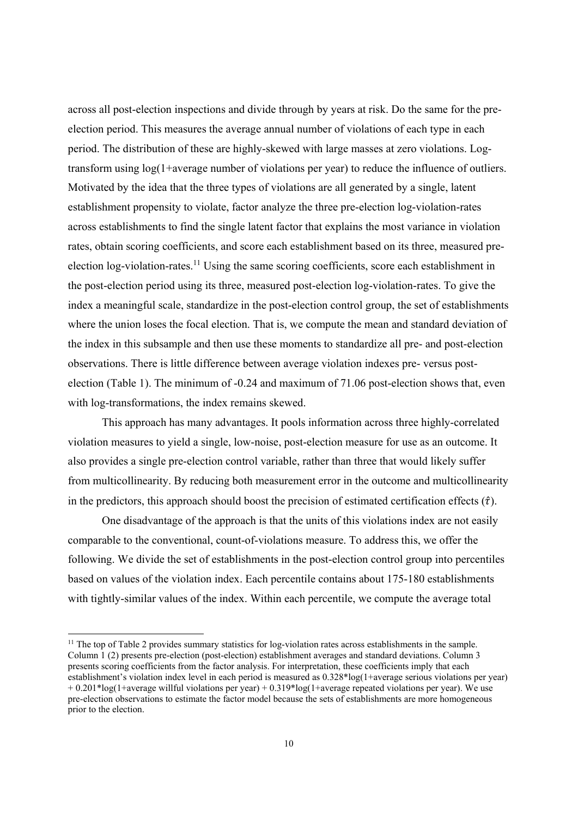across all post-election inspections and divide through by years at risk. Do the same for the preelection period. This measures the average annual number of violations of each type in each period. The distribution of these are highly-skewed with large masses at zero violations. Logtransform using log(1+average number of violations per year) to reduce the influence of outliers. Motivated by the idea that the three types of violations are all generated by a single, latent establishment propensity to violate, factor analyze the three pre-election log-violation-rates across establishments to find the single latent factor that explains the most variance in violation rates, obtain scoring coefficients, and score each establishment based on its three, measured preelection log-violation-rates.11 Using the same scoring coefficients, score each establishment in the post-election period using its three, measured post-election log-violation-rates. To give the index a meaningful scale, standardize in the post-election control group, the set of establishments where the union loses the focal election. That is, we compute the mean and standard deviation of the index in this subsample and then use these moments to standardize all pre- and post-election observations. There is little difference between average violation indexes pre- versus postelection (Table 1). The minimum of -0.24 and maximum of 71.06 post-election shows that, even with log-transformations, the index remains skewed.

This approach has many advantages. It pools information across three highly-correlated violation measures to yield a single, low-noise, post-election measure for use as an outcome. It also provides a single pre-election control variable, rather than three that would likely suffer from multicollinearity. By reducing both measurement error in the outcome and multicollinearity in the predictors, this approach should boost the precision of estimated certification effects  $(\hat{\tau})$ .

One disadvantage of the approach is that the units of this violations index are not easily comparable to the conventional, count-of-violations measure. To address this, we offer the following. We divide the set of establishments in the post-election control group into percentiles based on values of the violation index. Each percentile contains about 175-180 establishments with tightly-similar values of the index. Within each percentile, we compute the average total

<sup>&</sup>lt;sup>11</sup> The top of Table 2 provides summary statistics for log-violation rates across establishments in the sample. Column 1 (2) presents pre-election (post-election) establishment averages and standard deviations. Column 3 presents scoring coefficients from the factor analysis. For interpretation, these coefficients imply that each establishment's violation index level in each period is measured as 0.328\*log(1+average serious violations per year) + 0.201\*log(1+average willful violations per year) + 0.319\*log(1+average repeated violations per year). We use pre-election observations to estimate the factor model because the sets of establishments are more homogeneous prior to the election.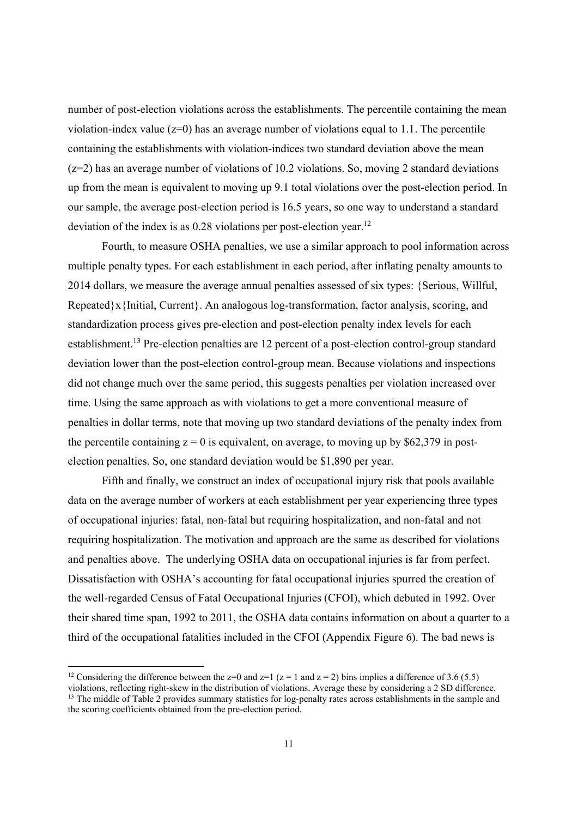number of post-election violations across the establishments. The percentile containing the mean violation-index value  $(z=0)$  has an average number of violations equal to 1.1. The percentile containing the establishments with violation-indices two standard deviation above the mean  $(z=2)$  has an average number of violations of 10.2 violations. So, moving 2 standard deviations up from the mean is equivalent to moving up 9.1 total violations over the post-election period. In our sample, the average post-election period is 16.5 years, so one way to understand a standard deviation of the index is as  $0.28$  violations per post-election year.<sup>12</sup>

Fourth, to measure OSHA penalties, we use a similar approach to pool information across multiple penalty types. For each establishment in each period, after inflating penalty amounts to 2014 dollars, we measure the average annual penalties assessed of six types: {Serious, Willful, Repeated}x{Initial, Current}. An analogous log-transformation, factor analysis, scoring, and standardization process gives pre-election and post-election penalty index levels for each establishment.<sup>13</sup> Pre-election penalties are 12 percent of a post-election control-group standard deviation lower than the post-election control-group mean. Because violations and inspections did not change much over the same period, this suggests penalties per violation increased over time. Using the same approach as with violations to get a more conventional measure of penalties in dollar terms, note that moving up two standard deviations of the penalty index from the percentile containing  $z = 0$  is equivalent, on average, to moving up by \$62,379 in postelection penalties. So, one standard deviation would be \$1,890 per year.

Fifth and finally, we construct an index of occupational injury risk that pools available data on the average number of workers at each establishment per year experiencing three types of occupational injuries: fatal, non-fatal but requiring hospitalization, and non-fatal and not requiring hospitalization. The motivation and approach are the same as described for violations and penalties above. The underlying OSHA data on occupational injuries is far from perfect. Dissatisfaction with OSHA's accounting for fatal occupational injuries spurred the creation of the well-regarded Census of Fatal Occupational Injuries (CFOI), which debuted in 1992. Over their shared time span, 1992 to 2011, the OSHA data contains information on about a quarter to a third of the occupational fatalities included in the CFOI (Appendix Figure 6). The bad news is

<sup>&</sup>lt;sup>12</sup> Considering the difference between the z=0 and z=1 (z = 1 and z = 2) bins implies a difference of 3.6 (5.5) violations, reflecting right-skew in the distribution of violations. Average these by considering a 2 SD difference. <sup>13</sup> The middle of Table 2 provides summary statistics for log-penalty rates across establishments in the sample and the scoring coefficients obtained from the pre-election period.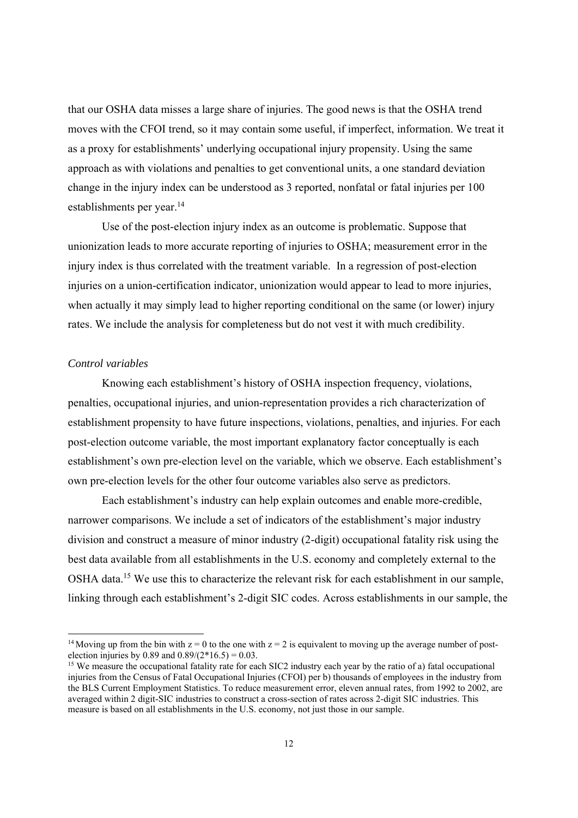that our OSHA data misses a large share of injuries. The good news is that the OSHA trend moves with the CFOI trend, so it may contain some useful, if imperfect, information. We treat it as a proxy for establishments' underlying occupational injury propensity. Using the same approach as with violations and penalties to get conventional units, a one standard deviation change in the injury index can be understood as 3 reported, nonfatal or fatal injuries per 100 establishments per year.<sup>14</sup>

Use of the post-election injury index as an outcome is problematic. Suppose that unionization leads to more accurate reporting of injuries to OSHA; measurement error in the injury index is thus correlated with the treatment variable. In a regression of post-election injuries on a union-certification indicator, unionization would appear to lead to more injuries, when actually it may simply lead to higher reporting conditional on the same (or lower) injury rates. We include the analysis for completeness but do not vest it with much credibility.

#### *Control variables*

Knowing each establishment's history of OSHA inspection frequency, violations, penalties, occupational injuries, and union-representation provides a rich characterization of establishment propensity to have future inspections, violations, penalties, and injuries. For each post-election outcome variable, the most important explanatory factor conceptually is each establishment's own pre-election level on the variable, which we observe. Each establishment's own pre-election levels for the other four outcome variables also serve as predictors.

Each establishment's industry can help explain outcomes and enable more-credible, narrower comparisons. We include a set of indicators of the establishment's major industry division and construct a measure of minor industry (2-digit) occupational fatality risk using the best data available from all establishments in the U.S. economy and completely external to the OSHA data.<sup>15</sup> We use this to characterize the relevant risk for each establishment in our sample, linking through each establishment's 2-digit SIC codes. Across establishments in our sample, the

<sup>&</sup>lt;sup>14</sup> Moving up from the bin with  $z = 0$  to the one with  $z = 2$  is equivalent to moving up the average number of postelection injuries by 0.89 and  $0.89/(2*16.5) = 0.03$ .

<sup>&</sup>lt;sup>15</sup> We measure the occupational fatality rate for each SIC2 industry each year by the ratio of a) fatal occupational injuries from the Census of Fatal Occupational Injuries (CFOI) per b) thousands of employees in the industry from the BLS Current Employment Statistics. To reduce measurement error, eleven annual rates, from 1992 to 2002, are averaged within 2 digit-SIC industries to construct a cross-section of rates across 2-digit SIC industries. This measure is based on all establishments in the U.S. economy, not just those in our sample.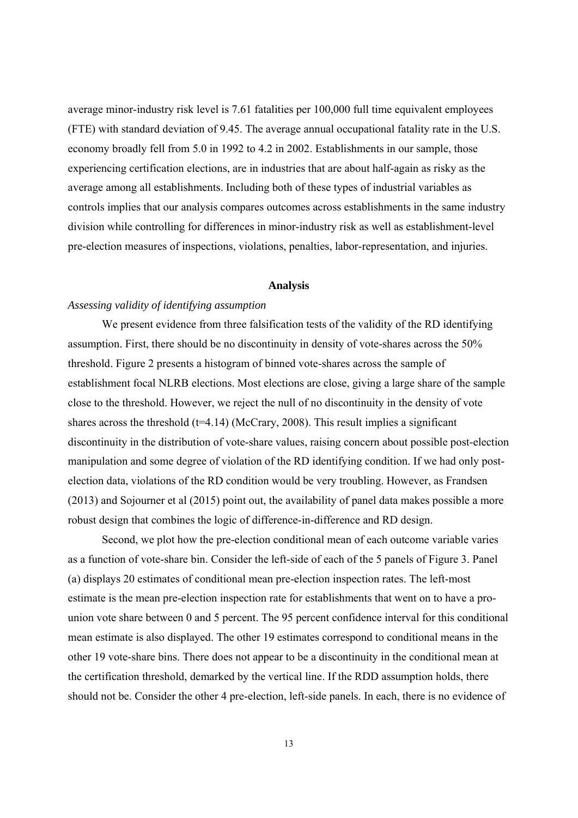average minor-industry risk level is 7.61 fatalities per 100,000 full time equivalent employees (FTE) with standard deviation of 9.45. The average annual occupational fatality rate in the U.S. economy broadly fell from 5.0 in 1992 to 4.2 in 2002. Establishments in our sample, those experiencing certification elections, are in industries that are about half-again as risky as the average among all establishments. Including both of these types of industrial variables as controls implies that our analysis compares outcomes across establishments in the same industry division while controlling for differences in minor-industry risk as well as establishment-level pre-election measures of inspections, violations, penalties, labor-representation, and injuries.

#### **Analysis**

#### *Assessing validity of identifying assumption*

We present evidence from three falsification tests of the validity of the RD identifying assumption. First, there should be no discontinuity in density of vote-shares across the 50% threshold. Figure 2 presents a histogram of binned vote-shares across the sample of establishment focal NLRB elections. Most elections are close, giving a large share of the sample close to the threshold. However, we reject the null of no discontinuity in the density of vote shares across the threshold ( $t=4.14$ ) (McCrary, 2008). This result implies a significant discontinuity in the distribution of vote-share values, raising concern about possible post-election manipulation and some degree of violation of the RD identifying condition. If we had only postelection data, violations of the RD condition would be very troubling. However, as Frandsen (2013) and Sojourner et al (2015) point out, the availability of panel data makes possible a more robust design that combines the logic of difference-in-difference and RD design.

Second, we plot how the pre-election conditional mean of each outcome variable varies as a function of vote-share bin. Consider the left-side of each of the 5 panels of Figure 3. Panel (a) displays 20 estimates of conditional mean pre-election inspection rates. The left-most estimate is the mean pre-election inspection rate for establishments that went on to have a prounion vote share between 0 and 5 percent. The 95 percent confidence interval for this conditional mean estimate is also displayed. The other 19 estimates correspond to conditional means in the other 19 vote-share bins. There does not appear to be a discontinuity in the conditional mean at the certification threshold, demarked by the vertical line. If the RDD assumption holds, there should not be. Consider the other 4 pre-election, left-side panels. In each, there is no evidence of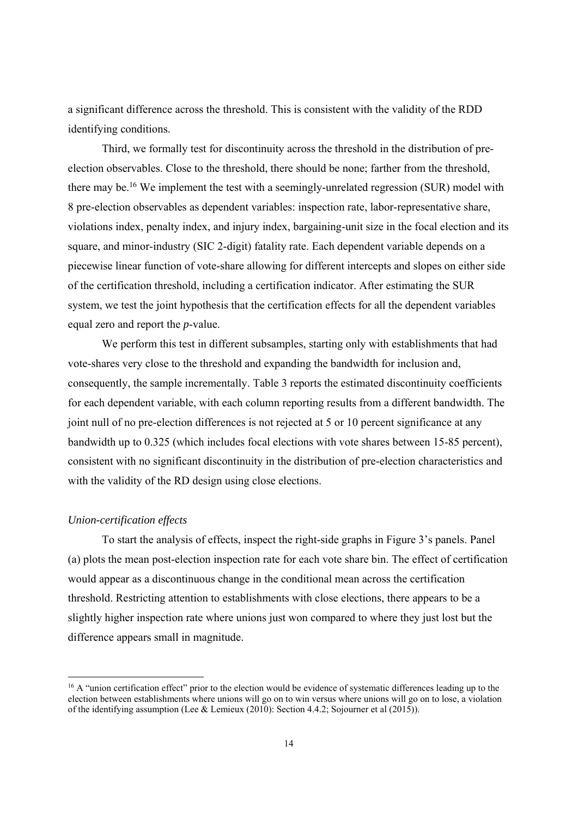a significant difference across the threshold. This is consistent with the validity of the RDD identifying conditions.

Third, we formally test for discontinuity across the threshold in the distribution of preelection observables. Close to the threshold, there should be none; farther from the threshold, there may be.<sup>16</sup> We implement the test with a seemingly-unrelated regression (SUR) model with 8 pre-election observables as dependent variables: inspection rate, labor-representative share, violations index, penalty index, and injury index, bargaining-unit size in the focal election and its square, and minor-industry (SIC 2-digit) fatality rate. Each dependent variable depends on a piecewise linear function of vote-share allowing for different intercepts and slopes on either side of the certification threshold, including a certification indicator. After estimating the SUR system, we test the joint hypothesis that the certification effects for all the dependent variables equal zero and report the *p*-value.

We perform this test in different subsamples, starting only with establishments that had vote-shares very close to the threshold and expanding the bandwidth for inclusion and, consequently, the sample incrementally. Table 3 reports the estimated discontinuity coefficients for each dependent variable, with each column reporting results from a different bandwidth. The joint null of no pre-election differences is not rejected at 5 or 10 percent significance at any bandwidth up to 0.325 (which includes focal elections with vote shares between 15-85 percent), consistent with no significant discontinuity in the distribution of pre-election characteristics and with the validity of the RD design using close elections.

#### *Union-certification effects*

To start the analysis of effects, inspect the right-side graphs in Figure 3's panels. Panel (a) plots the mean post-election inspection rate for each vote share bin. The effect of certification would appear as a discontinuous change in the conditional mean across the certification threshold. Restricting attention to establishments with close elections, there appears to be a slightly higher inspection rate where unions just won compared to where they just lost but the difference appears small in magnitude.

<sup>&</sup>lt;sup>16</sup> A "union certification effect" prior to the election would be evidence of systematic differences leading up to the election between establishments where unions will go on to win versus where unions will go on to lose, a violation of the identifying assumption (Lee & Lemieux (2010): Section 4.4.2; Sojourner et al (2015)).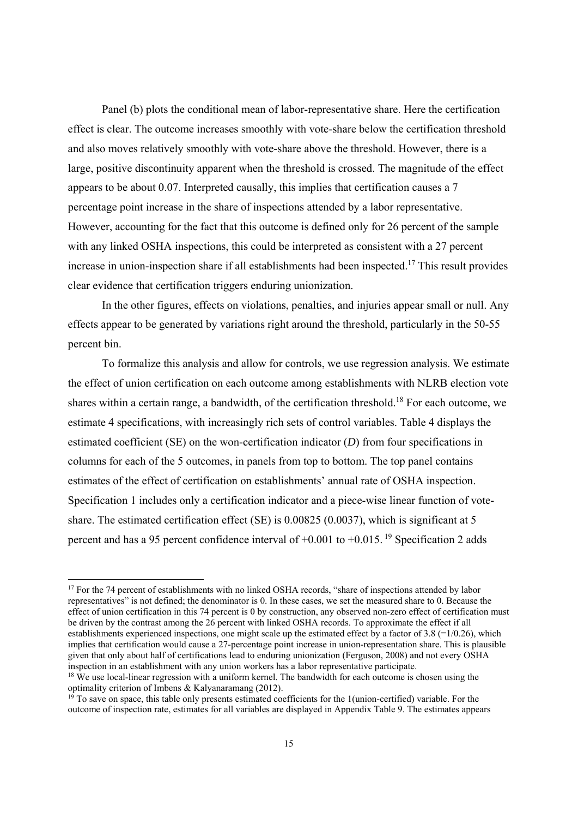Panel (b) plots the conditional mean of labor-representative share. Here the certification effect is clear. The outcome increases smoothly with vote-share below the certification threshold and also moves relatively smoothly with vote-share above the threshold. However, there is a large, positive discontinuity apparent when the threshold is crossed. The magnitude of the effect appears to be about 0.07. Interpreted causally, this implies that certification causes a 7 percentage point increase in the share of inspections attended by a labor representative. However, accounting for the fact that this outcome is defined only for 26 percent of the sample with any linked OSHA inspections, this could be interpreted as consistent with a 27 percent increase in union-inspection share if all establishments had been inspected.17 This result provides clear evidence that certification triggers enduring unionization.

In the other figures, effects on violations, penalties, and injuries appear small or null. Any effects appear to be generated by variations right around the threshold, particularly in the 50-55 percent bin.

To formalize this analysis and allow for controls, we use regression analysis. We estimate the effect of union certification on each outcome among establishments with NLRB election vote shares within a certain range, a bandwidth, of the certification threshold.<sup>18</sup> For each outcome, we estimate 4 specifications, with increasingly rich sets of control variables. Table 4 displays the estimated coefficient (SE) on the won-certification indicator (*D*) from four specifications in columns for each of the 5 outcomes, in panels from top to bottom. The top panel contains estimates of the effect of certification on establishments' annual rate of OSHA inspection. Specification 1 includes only a certification indicator and a piece-wise linear function of voteshare. The estimated certification effect (SE) is 0.00825 (0.0037), which is significant at 5 percent and has a 95 percent confidence interval of  $+0.001$  to  $+0.015$ . <sup>19</sup> Specification 2 adds

<sup>&</sup>lt;sup>17</sup> For the 74 percent of establishments with no linked OSHA records, "share of inspections attended by labor representatives" is not defined; the denominator is 0. In these cases, we set the measured share to 0. Because the effect of union certification in this 74 percent is 0 by construction, any observed non-zero effect of certification must be driven by the contrast among the  $26$  percent with linked OSHA records. To approximate the effect if all establishments experienced inspections, one might scale up the estimated effect by a factor of 3.8 (=1/0.26), which implies that certification would cause a 27-percentage point increase in union-representation share. This is plausible given that only about half of certifications lead to enduring unionization (Ferguson, 2008) and not every OSHA inspection in an establishment with any union workers has a labor representative participate.

<sup>&</sup>lt;sup>18</sup> We use local-linear regression with a uniform kernel. The bandwidth for each outcome is chosen using the optimality criterion of Imbens & Kalyanaramang (2012).

 $19$  To save on space, this table only presents estimated coefficients for the 1(union-certified) variable. For the outcome of inspection rate, estimates for all variables are displayed in Appendix Table 9. The estimates appears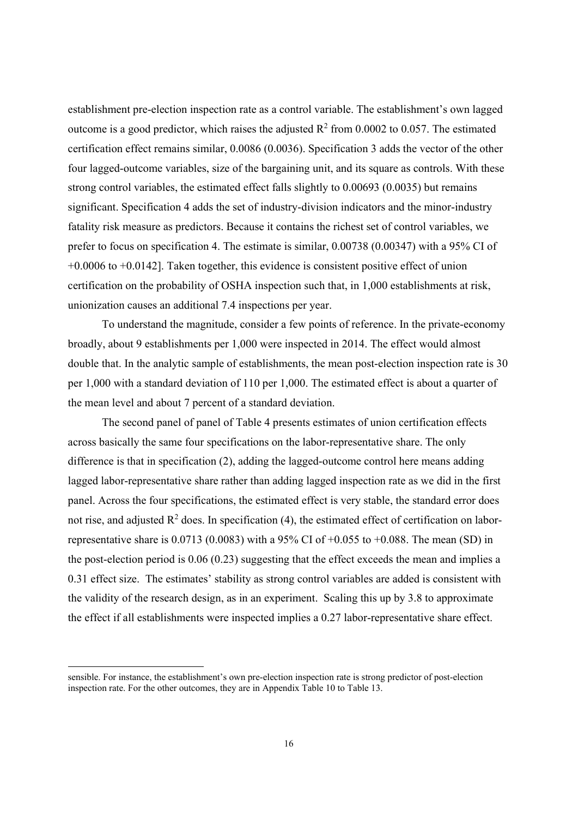establishment pre-election inspection rate as a control variable. The establishment's own lagged outcome is a good predictor, which raises the adjusted  $R^2$  from 0.0002 to 0.057. The estimated certification effect remains similar, 0.0086 (0.0036). Specification 3 adds the vector of the other four lagged-outcome variables, size of the bargaining unit, and its square as controls. With these strong control variables, the estimated effect falls slightly to 0.00693 (0.0035) but remains significant. Specification 4 adds the set of industry-division indicators and the minor-industry fatality risk measure as predictors. Because it contains the richest set of control variables, we prefer to focus on specification 4. The estimate is similar, 0.00738 (0.00347) with a 95% CI of +0.0006 to +0.0142]. Taken together, this evidence is consistent positive effect of union certification on the probability of OSHA inspection such that, in 1,000 establishments at risk, unionization causes an additional 7.4 inspections per year.

To understand the magnitude, consider a few points of reference. In the private-economy broadly, about 9 establishments per 1,000 were inspected in 2014. The effect would almost double that. In the analytic sample of establishments, the mean post-election inspection rate is 30 per 1,000 with a standard deviation of 110 per 1,000. The estimated effect is about a quarter of the mean level and about 7 percent of a standard deviation.

The second panel of panel of Table 4 presents estimates of union certification effects across basically the same four specifications on the labor-representative share. The only difference is that in specification (2), adding the lagged-outcome control here means adding lagged labor-representative share rather than adding lagged inspection rate as we did in the first panel. Across the four specifications, the estimated effect is very stable, the standard error does not rise, and adjusted  $\mathbb{R}^2$  does. In specification (4), the estimated effect of certification on laborrepresentative share is  $0.0713$  (0.0083) with a 95% CI of +0.055 to +0.088. The mean (SD) in the post-election period is 0.06 (0.23) suggesting that the effect exceeds the mean and implies a 0.31 effect size. The estimates' stability as strong control variables are added is consistent with the validity of the research design, as in an experiment. Scaling this up by 3.8 to approximate the effect if all establishments were inspected implies a 0.27 labor-representative share effect.

sensible. For instance, the establishment's own pre-election inspection rate is strong predictor of post-election inspection rate. For the other outcomes, they are in Appendix Table 10 to Table 13.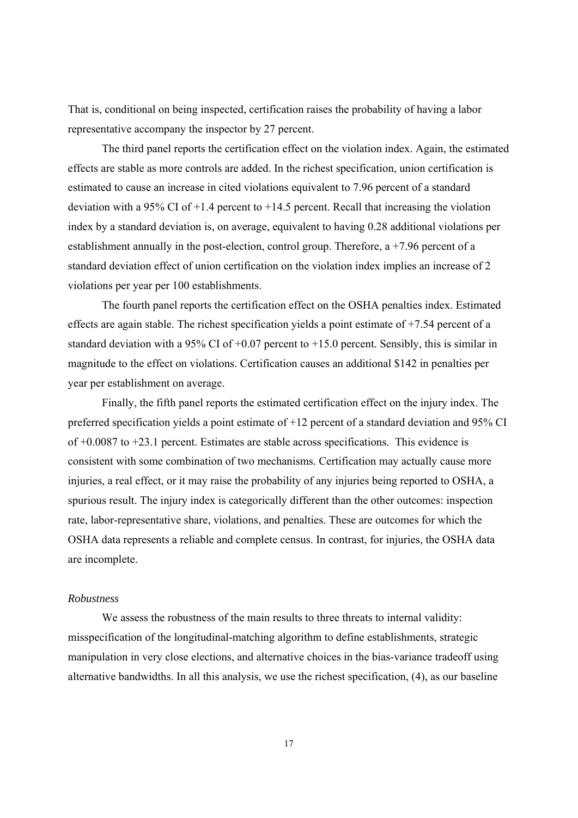That is, conditional on being inspected, certification raises the probability of having a labor representative accompany the inspector by 27 percent.

The third panel reports the certification effect on the violation index. Again, the estimated effects are stable as more controls are added. In the richest specification, union certification is estimated to cause an increase in cited violations equivalent to 7.96 percent of a standard deviation with a 95% CI of  $+1.4$  percent to  $+14.5$  percent. Recall that increasing the violation index by a standard deviation is, on average, equivalent to having 0.28 additional violations per establishment annually in the post-election, control group. Therefore, a +7.96 percent of a standard deviation effect of union certification on the violation index implies an increase of 2 violations per year per 100 establishments.

The fourth panel reports the certification effect on the OSHA penalties index. Estimated effects are again stable. The richest specification yields a point estimate of +7.54 percent of a standard deviation with a 95% CI of  $+0.07$  percent to  $+15.0$  percent. Sensibly, this is similar in magnitude to the effect on violations. Certification causes an additional \$142 in penalties per year per establishment on average.

Finally, the fifth panel reports the estimated certification effect on the injury index. The preferred specification yields a point estimate of +12 percent of a standard deviation and 95% CI of +0.0087 to +23.1 percent. Estimates are stable across specifications. This evidence is consistent with some combination of two mechanisms. Certification may actually cause more injuries, a real effect, or it may raise the probability of any injuries being reported to OSHA, a spurious result. The injury index is categorically different than the other outcomes: inspection rate, labor-representative share, violations, and penalties. These are outcomes for which the OSHA data represents a reliable and complete census. In contrast, for injuries, the OSHA data are incomplete.

#### *Robustness*

 We assess the robustness of the main results to three threats to internal validity: misspecification of the longitudinal-matching algorithm to define establishments, strategic manipulation in very close elections, and alternative choices in the bias-variance tradeoff using alternative bandwidths. In all this analysis, we use the richest specification, (4), as our baseline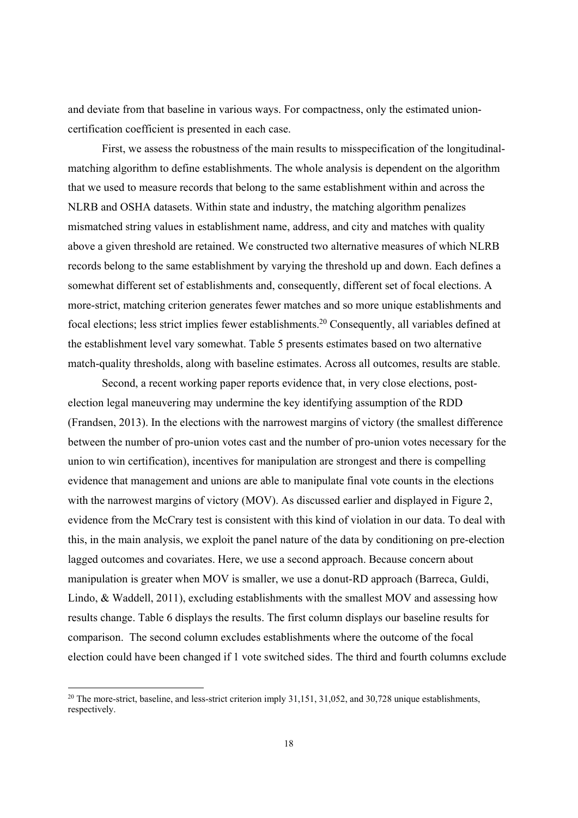and deviate from that baseline in various ways. For compactness, only the estimated unioncertification coefficient is presented in each case.

First, we assess the robustness of the main results to misspecification of the longitudinalmatching algorithm to define establishments. The whole analysis is dependent on the algorithm that we used to measure records that belong to the same establishment within and across the NLRB and OSHA datasets. Within state and industry, the matching algorithm penalizes mismatched string values in establishment name, address, and city and matches with quality above a given threshold are retained. We constructed two alternative measures of which NLRB records belong to the same establishment by varying the threshold up and down. Each defines a somewhat different set of establishments and, consequently, different set of focal elections. A more-strict, matching criterion generates fewer matches and so more unique establishments and focal elections; less strict implies fewer establishments.20 Consequently, all variables defined at the establishment level vary somewhat. Table 5 presents estimates based on two alternative match-quality thresholds, along with baseline estimates. Across all outcomes, results are stable.

Second, a recent working paper reports evidence that, in very close elections, postelection legal maneuvering may undermine the key identifying assumption of the RDD (Frandsen, 2013). In the elections with the narrowest margins of victory (the smallest difference between the number of pro-union votes cast and the number of pro-union votes necessary for the union to win certification), incentives for manipulation are strongest and there is compelling evidence that management and unions are able to manipulate final vote counts in the elections with the narrowest margins of victory (MOV). As discussed earlier and displayed in Figure 2, evidence from the McCrary test is consistent with this kind of violation in our data. To deal with this, in the main analysis, we exploit the panel nature of the data by conditioning on pre-election lagged outcomes and covariates. Here, we use a second approach. Because concern about manipulation is greater when MOV is smaller, we use a donut-RD approach (Barreca, Guldi, Lindo, & Waddell, 2011), excluding establishments with the smallest MOV and assessing how results change. Table 6 displays the results. The first column displays our baseline results for comparison. The second column excludes establishments where the outcome of the focal election could have been changed if 1 vote switched sides. The third and fourth columns exclude

<sup>&</sup>lt;sup>20</sup> The more-strict, baseline, and less-strict criterion imply 31,151, 31,052, and 30,728 unique establishments, respectively.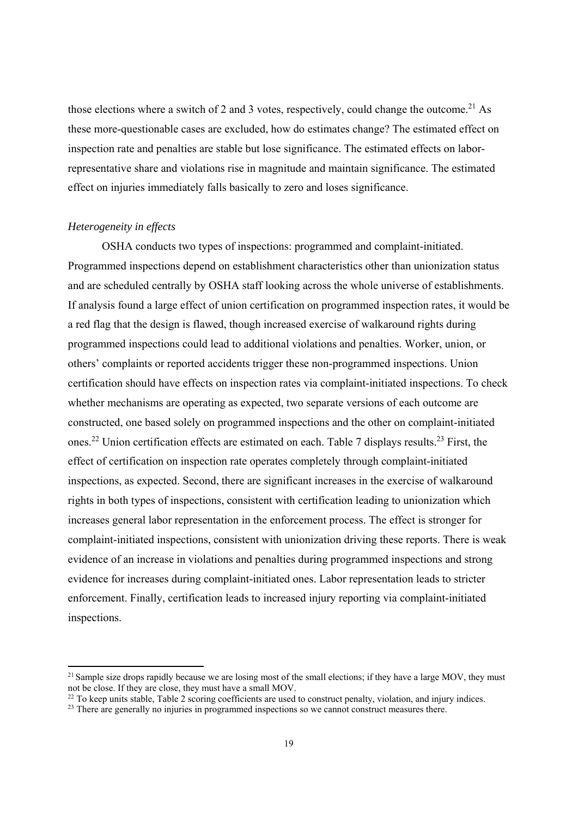those elections where a switch of 2 and 3 votes, respectively, could change the outcome.<sup>21</sup> As these more-questionable cases are excluded, how do estimates change? The estimated effect on inspection rate and penalties are stable but lose significance. The estimated effects on laborrepresentative share and violations rise in magnitude and maintain significance. The estimated effect on injuries immediately falls basically to zero and loses significance.

#### *Heterogeneity in effects*

OSHA conducts two types of inspections: programmed and complaint-initiated. Programmed inspections depend on establishment characteristics other than unionization status and are scheduled centrally by OSHA staff looking across the whole universe of establishments. If analysis found a large effect of union certification on programmed inspection rates, it would be a red flag that the design is flawed, though increased exercise of walkaround rights during programmed inspections could lead to additional violations and penalties. Worker, union, or others' complaints or reported accidents trigger these non-programmed inspections. Union certification should have effects on inspection rates via complaint-initiated inspections. To check whether mechanisms are operating as expected, two separate versions of each outcome are constructed, one based solely on programmed inspections and the other on complaint-initiated ones.22 Union certification effects are estimated on each. Table 7 displays results.23 First, the effect of certification on inspection rate operates completely through complaint-initiated inspections, as expected. Second, there are significant increases in the exercise of walkaround rights in both types of inspections, consistent with certification leading to unionization which increases general labor representation in the enforcement process. The effect is stronger for complaint-initiated inspections, consistent with unionization driving these reports. There is weak evidence of an increase in violations and penalties during programmed inspections and strong evidence for increases during complaint-initiated ones. Labor representation leads to stricter enforcement. Finally, certification leads to increased injury reporting via complaint-initiated inspections.

 $21$  Sample size drops rapidly because we are losing most of the small elections; if they have a large MOV, they must not be close. If they are close, they must have a small MOV.

<sup>&</sup>lt;sup>22</sup> To keep units stable, Table 2 scoring coefficients are used to construct penalty, violation, and injury indices.

<sup>&</sup>lt;sup>23</sup> There are generally no injuries in programmed inspections so we cannot construct measures there.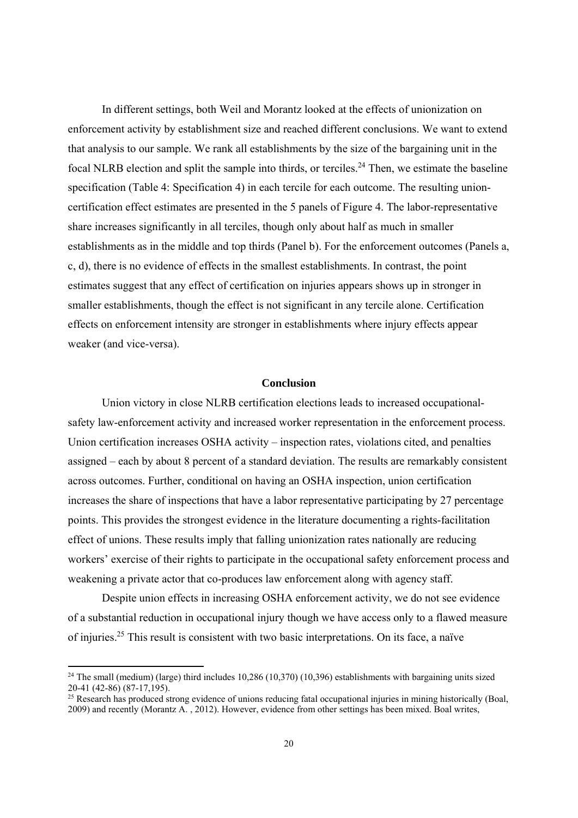In different settings, both Weil and Morantz looked at the effects of unionization on enforcement activity by establishment size and reached different conclusions. We want to extend that analysis to our sample. We rank all establishments by the size of the bargaining unit in the focal NLRB election and split the sample into thirds, or terciles.<sup>24</sup> Then, we estimate the baseline specification (Table 4: Specification 4) in each tercile for each outcome. The resulting unioncertification effect estimates are presented in the 5 panels of Figure 4. The labor-representative share increases significantly in all terciles, though only about half as much in smaller establishments as in the middle and top thirds (Panel b). For the enforcement outcomes (Panels a, c, d), there is no evidence of effects in the smallest establishments. In contrast, the point estimates suggest that any effect of certification on injuries appears shows up in stronger in smaller establishments, though the effect is not significant in any tercile alone. Certification effects on enforcement intensity are stronger in establishments where injury effects appear weaker (and vice-versa).

#### **Conclusion**

Union victory in close NLRB certification elections leads to increased occupationalsafety law-enforcement activity and increased worker representation in the enforcement process. Union certification increases OSHA activity – inspection rates, violations cited, and penalties assigned – each by about 8 percent of a standard deviation. The results are remarkably consistent across outcomes. Further, conditional on having an OSHA inspection, union certification increases the share of inspections that have a labor representative participating by 27 percentage points. This provides the strongest evidence in the literature documenting a rights-facilitation effect of unions. These results imply that falling unionization rates nationally are reducing workers' exercise of their rights to participate in the occupational safety enforcement process and weakening a private actor that co-produces law enforcement along with agency staff.

Despite union effects in increasing OSHA enforcement activity, we do not see evidence of a substantial reduction in occupational injury though we have access only to a flawed measure of injuries.25 This result is consistent with two basic interpretations. On its face, a naïve

<sup>&</sup>lt;sup>24</sup> The small (medium) (large) third includes  $10,286$  (10,370) (10,396) establishments with bargaining units sized 20-41 (42-86) (87-17,195).

 $25$  Research has produced strong evidence of unions reducing fatal occupational injuries in mining historically (Boal, 2009) and recently (Morantz A. , 2012). However, evidence from other settings has been mixed. Boal writes,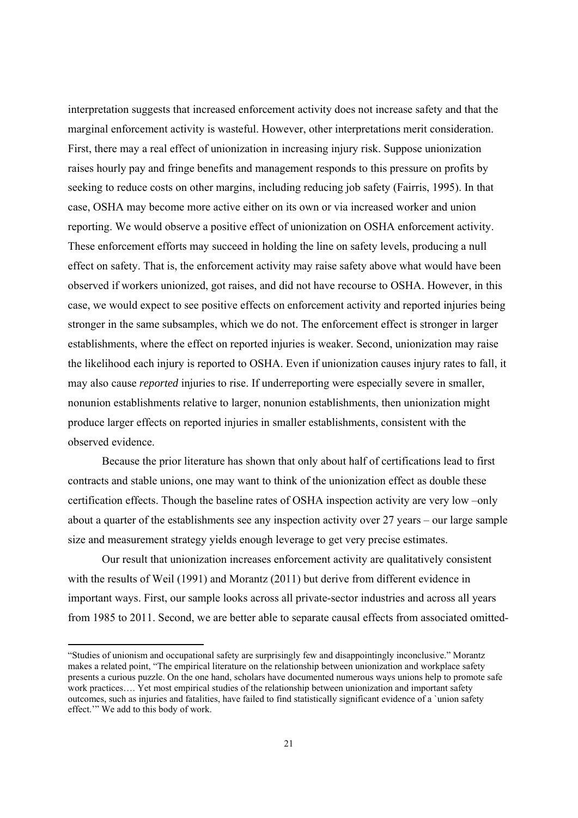interpretation suggests that increased enforcement activity does not increase safety and that the marginal enforcement activity is wasteful. However, other interpretations merit consideration. First, there may a real effect of unionization in increasing injury risk. Suppose unionization raises hourly pay and fringe benefits and management responds to this pressure on profits by seeking to reduce costs on other margins, including reducing job safety (Fairris, 1995). In that case, OSHA may become more active either on its own or via increased worker and union reporting. We would observe a positive effect of unionization on OSHA enforcement activity. These enforcement efforts may succeed in holding the line on safety levels, producing a null effect on safety. That is, the enforcement activity may raise safety above what would have been observed if workers unionized, got raises, and did not have recourse to OSHA. However, in this case, we would expect to see positive effects on enforcement activity and reported injuries being stronger in the same subsamples, which we do not. The enforcement effect is stronger in larger establishments, where the effect on reported injuries is weaker. Second, unionization may raise the likelihood each injury is reported to OSHA. Even if unionization causes injury rates to fall, it may also cause *reported* injuries to rise. If underreporting were especially severe in smaller, nonunion establishments relative to larger, nonunion establishments, then unionization might produce larger effects on reported injuries in smaller establishments, consistent with the observed evidence.

Because the prior literature has shown that only about half of certifications lead to first contracts and stable unions, one may want to think of the unionization effect as double these certification effects. Though the baseline rates of OSHA inspection activity are very low –only about a quarter of the establishments see any inspection activity over 27 years – our large sample size and measurement strategy yields enough leverage to get very precise estimates.

Our result that unionization increases enforcement activity are qualitatively consistent with the results of Weil (1991) and Morantz (2011) but derive from different evidence in important ways. First, our sample looks across all private-sector industries and across all years from 1985 to 2011. Second, we are better able to separate causal effects from associated omitted-

<sup>&</sup>quot;Studies of unionism and occupational safety are surprisingly few and disappointingly inconclusive." Morantz makes a related point, "The empirical literature on the relationship between unionization and workplace safety presents a curious puzzle. On the one hand, scholars have documented numerous ways unions help to promote safe work practices…. Yet most empirical studies of the relationship between unionization and important safety outcomes, such as injuries and fatalities, have failed to find statistically significant evidence of a `union safety effect.'" We add to this body of work.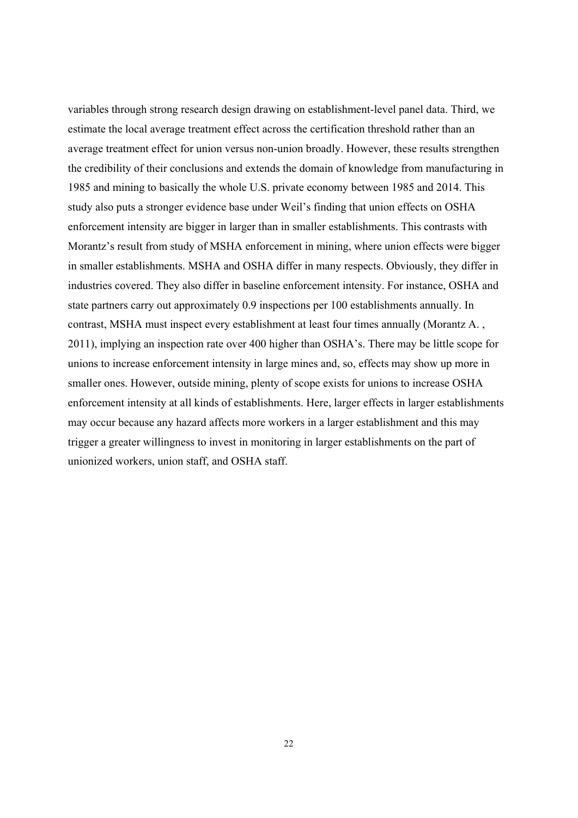variables through strong research design drawing on establishment-level panel data. Third, we estimate the local average treatment effect across the certification threshold rather than an average treatment effect for union versus non-union broadly. However, these results strengthen the credibility of their conclusions and extends the domain of knowledge from manufacturing in 1985 and mining to basically the whole U.S. private economy between 1985 and 2014. This study also puts a stronger evidence base under Weil's finding that union effects on OSHA enforcement intensity are bigger in larger than in smaller establishments. This contrasts with Morantz's result from study of MSHA enforcement in mining, where union effects were bigger in smaller establishments. MSHA and OSHA differ in many respects. Obviously, they differ in industries covered. They also differ in baseline enforcement intensity. For instance, OSHA and state partners carry out approximately 0.9 inspections per 100 establishments annually. In contrast, MSHA must inspect every establishment at least four times annually (Morantz A. , 2011), implying an inspection rate over 400 higher than OSHA's. There may be little scope for unions to increase enforcement intensity in large mines and, so, effects may show up more in smaller ones. However, outside mining, plenty of scope exists for unions to increase OSHA enforcement intensity at all kinds of establishments. Here, larger effects in larger establishments may occur because any hazard affects more workers in a larger establishment and this may trigger a greater willingness to invest in monitoring in larger establishments on the part of unionized workers, union staff, and OSHA staff.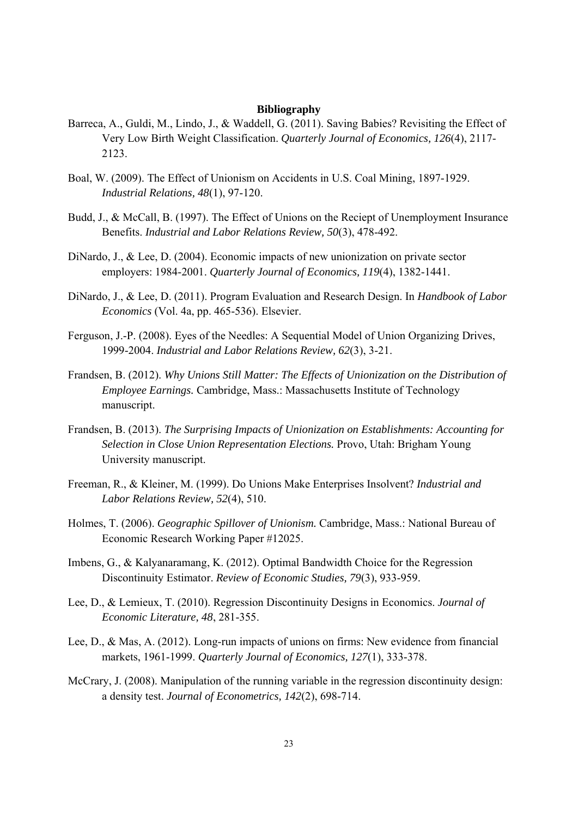#### **Bibliography**

- Barreca, A., Guldi, M., Lindo, J., & Waddell, G. (2011). Saving Babies? Revisiting the Effect of Very Low Birth Weight Classification. *Quarterly Journal of Economics, 126*(4), 2117- 2123.
- Boal, W. (2009). The Effect of Unionism on Accidents in U.S. Coal Mining, 1897-1929. *Industrial Relations, 48*(1), 97-120.
- Budd, J., & McCall, B. (1997). The Effect of Unions on the Reciept of Unemployment Insurance Benefits. *Industrial and Labor Relations Review, 50*(3), 478-492.
- DiNardo, J., & Lee, D. (2004). Economic impacts of new unionization on private sector employers: 1984-2001. *Quarterly Journal of Economics, 119*(4), 1382-1441.
- DiNardo, J., & Lee, D. (2011). Program Evaluation and Research Design. In *Handbook of Labor Economics* (Vol. 4a, pp. 465-536). Elsevier.
- Ferguson, J.-P. (2008). Eyes of the Needles: A Sequential Model of Union Organizing Drives, 1999-2004. *Industrial and Labor Relations Review, 62*(3), 3-21.
- Frandsen, B. (2012). *Why Unions Still Matter: The Effects of Unionization on the Distribution of Employee Earnings.* Cambridge, Mass.: Massachusetts Institute of Technology manuscript.
- Frandsen, B. (2013). *The Surprising Impacts of Unionization on Establishments: Accounting for Selection in Close Union Representation Elections.* Provo, Utah: Brigham Young University manuscript.
- Freeman, R., & Kleiner, M. (1999). Do Unions Make Enterprises Insolvent? *Industrial and Labor Relations Review, 52*(4), 510.
- Holmes, T. (2006). *Geographic Spillover of Unionism.* Cambridge, Mass.: National Bureau of Economic Research Working Paper #12025.
- Imbens, G., & Kalyanaramang, K. (2012). Optimal Bandwidth Choice for the Regression Discontinuity Estimator. *Review of Economic Studies, 79*(3), 933-959.
- Lee, D., & Lemieux, T. (2010). Regression Discontinuity Designs in Economics. *Journal of Economic Literature, 48*, 281-355.
- Lee, D., & Mas, A. (2012). Long-run impacts of unions on firms: New evidence from financial markets, 1961-1999. *Quarterly Journal of Economics, 127*(1), 333-378.
- McCrary, J. (2008). Manipulation of the running variable in the regression discontinuity design: a density test. *Journal of Econometrics, 142*(2), 698-714.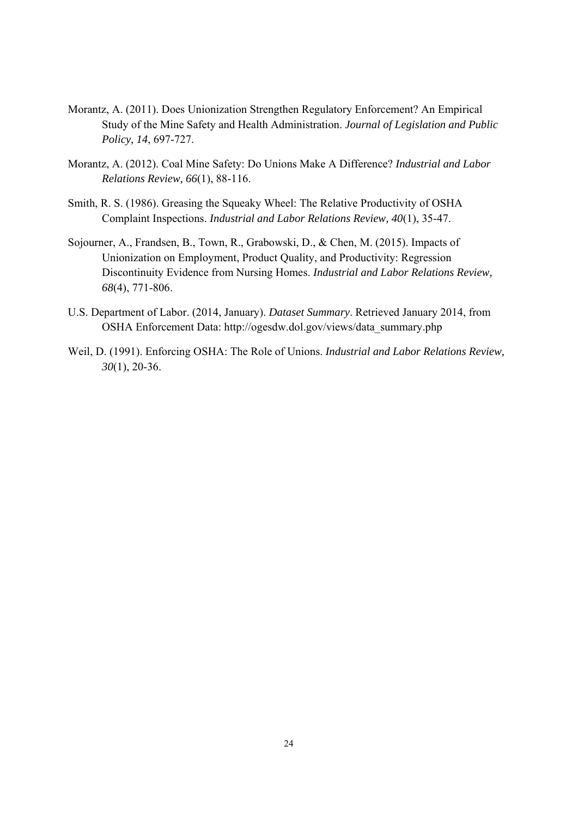- Morantz, A. (2011). Does Unionization Strengthen Regulatory Enforcement? An Empirical Study of the Mine Safety and Health Administration. *Journal of Legislation and Public Policy, 14*, 697-727.
- Morantz, A. (2012). Coal Mine Safety: Do Unions Make A Difference? *Industrial and Labor Relations Review, 66*(1), 88-116.
- Smith, R. S. (1986). Greasing the Squeaky Wheel: The Relative Productivity of OSHA Complaint Inspections. *Industrial and Labor Relations Review, 40*(1), 35-47.
- Sojourner, A., Frandsen, B., Town, R., Grabowski, D., & Chen, M. (2015). Impacts of Unionization on Employment, Product Quality, and Productivity: Regression Discontinuity Evidence from Nursing Homes. *Industrial and Labor Relations Review, 68*(4), 771-806.
- U.S. Department of Labor. (2014, January). *Dataset Summary*. Retrieved January 2014, from OSHA Enforcement Data: http://ogesdw.dol.gov/views/data\_summary.php
- Weil, D. (1991). Enforcing OSHA: The Role of Unions. *Industrial and Labor Relations Review, 30*(1), 20-36.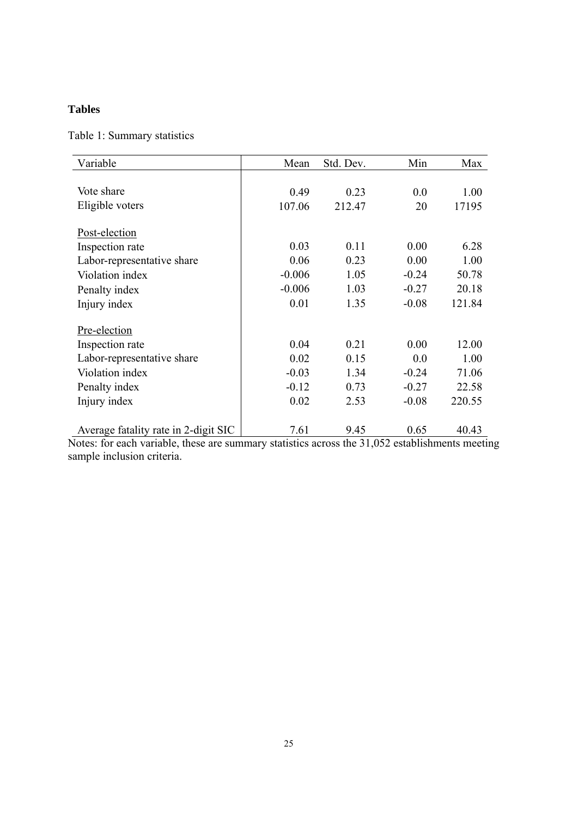### **Tables**

### Table 1: Summary statistics

| Variable                             | Mean     | Std. Dev. | Min     | Max    |
|--------------------------------------|----------|-----------|---------|--------|
|                                      |          |           |         |        |
| Vote share                           | 0.49     | 0.23      | 0.0     | 1.00   |
| Eligible voters                      | 107.06   | 212.47    | 20      | 17195  |
|                                      |          |           |         |        |
| Post-election                        |          |           |         |        |
| Inspection rate                      | 0.03     | 0.11      | 0.00    | 6.28   |
| Labor-representative share           | 0.06     | 0.23      | 0.00    | 1.00   |
| Violation index                      | $-0.006$ | 1.05      | $-0.24$ | 50.78  |
| Penalty index                        | $-0.006$ | 1.03      | $-0.27$ | 20.18  |
| Injury index                         | 0.01     | 1.35      | $-0.08$ | 121.84 |
| Pre-election                         |          |           |         |        |
| Inspection rate                      | 0.04     | 0.21      | 0.00    | 12.00  |
| Labor-representative share           | 0.02     | 0.15      | 0.0     | 1.00   |
| Violation index                      | $-0.03$  | 1.34      | $-0.24$ | 71.06  |
| Penalty index                        | $-0.12$  | 0.73      | $-0.27$ | 22.58  |
| Injury index                         | 0.02     | 2.53      | $-0.08$ | 220.55 |
|                                      |          |           |         |        |
| Average fatality rate in 2-digit SIC | 7.61     | 9.45      | 0.65    | 40.43  |

Notes: for each variable, these are summary statistics across the 31,052 establishments meeting sample inclusion criteria.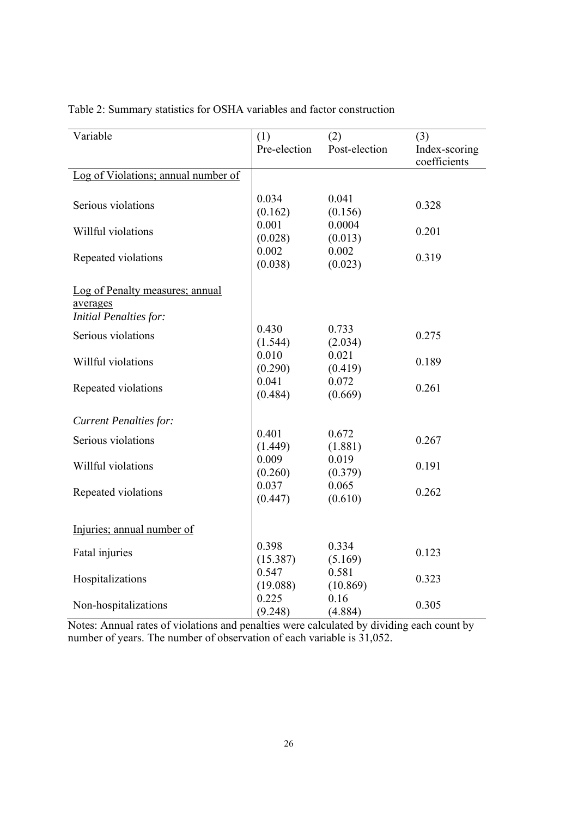| Variable                            | (1)          | (2)           | (3)           |
|-------------------------------------|--------------|---------------|---------------|
|                                     | Pre-election | Post-election | Index-scoring |
|                                     |              |               | coefficients  |
| Log of Violations; annual number of |              |               |               |
|                                     |              |               |               |
| Serious violations                  | 0.034        | 0.041         | 0.328         |
|                                     | (0.162)      | (0.156)       |               |
| Willful violations                  | 0.001        | 0.0004        | 0.201         |
|                                     | (0.028)      | (0.013)       |               |
|                                     | 0.002        | 0.002         | 0.319         |
| Repeated violations                 | (0.038)      | (0.023)       |               |
|                                     |              |               |               |
| Log of Penalty measures; annual     |              |               |               |
| averages                            |              |               |               |
| <b>Initial Penalties for:</b>       |              |               |               |
|                                     | 0.430        | 0.733         |               |
| Serious violations                  | (1.544)      | (2.034)       | 0.275         |
|                                     | 0.010        | 0.021         |               |
| Willful violations                  | (0.290)      | (0.419)       | 0.189         |
|                                     | 0.041        | 0.072         |               |
| Repeated violations                 | (0.484)      | (0.669)       | 0.261         |
|                                     |              |               |               |
| <b>Current Penalties for:</b>       |              |               |               |
|                                     | 0.401        | 0.672         |               |
| Serious violations                  | (1.449)      | (1.881)       | 0.267         |
|                                     | 0.009        | 0.019         |               |
| Willful violations                  | (0.260)      | (0.379)       | 0.191         |
|                                     | 0.037        | 0.065         |               |
| Repeated violations                 | (0.447)      | (0.610)       | 0.262         |
|                                     |              |               |               |
|                                     |              |               |               |
| Injuries; annual number of          |              |               |               |
|                                     | 0.398        | 0.334         |               |
| Fatal injuries                      | (15.387)     | (5.169)       | 0.123         |
|                                     | 0.547        | 0.581         |               |
| Hospitalizations                    | (19.088)     | (10.869)      | 0.323         |
|                                     | 0.225        | 0.16          |               |
| Non-hospitalizations                | (9.248)      | (4.884)       | 0.305         |
|                                     |              |               |               |

Table 2: Summary statistics for OSHA variables and factor construction

Notes: Annual rates of violations and penalties were calculated by dividing each count by number of years. The number of observation of each variable is 31,052.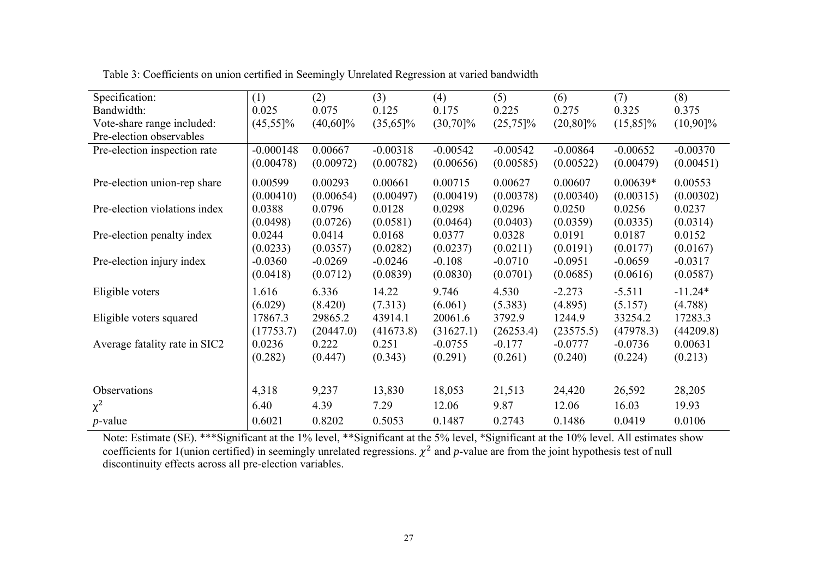| Specification:                | (1)                 | (2)                | (3)                | (4)                    | (5)                   | (6)                    | (7)                    | (8)                  |
|-------------------------------|---------------------|--------------------|--------------------|------------------------|-----------------------|------------------------|------------------------|----------------------|
| Bandwidth:                    | 0.025               | 0.075              | 0.125              | 0.175                  | 0.225                 | 0.275                  | 0.325                  | 0.375                |
| Vote-share range included:    | $(45,55)\%$         | $(40,60]\%$        | $(35,65)\%$        | $(30,70)\%$            | $(25,75)\%$           | $(20, 80)\%$           | $(15,85)\%$            | $(10,90]\%$          |
| Pre-election observables      |                     |                    |                    |                        |                       |                        |                        |                      |
| Pre-election inspection rate  | $-0.000148$         | 0.00667            | $-0.00318$         | $-0.00542$             | $-0.00542$            | $-0.00864$             | $-0.00652$             | $-0.00370$           |
|                               | (0.00478)           | (0.00972)          | (0.00782)          | (0.00656)              | (0.00585)             | (0.00522)              | (0.00479)              | (0.00451)            |
| Pre-election union-rep share  | 0.00599             | 0.00293            | 0.00661            | 0.00715                | 0.00627               | 0.00607                | $0.00639*$             | 0.00553              |
|                               | (0.00410)           | (0.00654)          | (0.00497)          | (0.00419)              | (0.00378)             | (0.00340)              | (0.00315)              | (0.00302)            |
| Pre-election violations index | 0.0388              | 0.0796             | 0.0128             | 0.0298                 | 0.0296                | 0.0250                 | 0.0256                 | 0.0237               |
|                               | (0.0498)            | (0.0726)           | (0.0581)           | (0.0464)               | (0.0403)              | (0.0359)               | (0.0335)               | (0.0314)             |
| Pre-election penalty index    | 0.0244              | 0.0414             | 0.0168             | 0.0377                 | 0.0328                | 0.0191                 | 0.0187                 | 0.0152               |
|                               | (0.0233)            | (0.0357)           | (0.0282)           | (0.0237)               | (0.0211)              | (0.0191)               | (0.0177)               | (0.0167)             |
| Pre-election injury index     | $-0.0360$           | $-0.0269$          | $-0.0246$          | $-0.108$               | $-0.0710$             | $-0.0951$              | $-0.0659$              | $-0.0317$            |
|                               | (0.0418)            | (0.0712)           | (0.0839)           | (0.0830)               | (0.0701)              | (0.0685)               | (0.0616)               | (0.0587)             |
| Eligible voters               | 1.616               | 6.336              | 14.22              | 9.746                  | 4.530                 | $-2.273$               | $-5.511$               | $-11.24*$            |
|                               | (6.029)             | (8.420)            | (7.313)            | (6.061)                | (5.383)               | (4.895)                | (5.157)                | (4.788)              |
| Eligible voters squared       | 17867.3             | 29865.2            | 43914.1            | 20061.6                | 3792.9                | 1244.9                 | 33254.2                | 17283.3              |
| Average fatality rate in SIC2 | (17753.7)<br>0.0236 | (20447.0)<br>0.222 | (41673.8)<br>0.251 | (31627.1)<br>$-0.0755$ | (26253.4)<br>$-0.177$ | (23575.5)<br>$-0.0777$ | (47978.3)<br>$-0.0736$ | (44209.8)<br>0.00631 |
|                               | (0.282)             | (0.447)            | (0.343)            | (0.291)                | (0.261)               | (0.240)                | (0.224)                | (0.213)              |
|                               |                     |                    |                    |                        |                       |                        |                        |                      |
|                               |                     |                    |                    |                        |                       |                        |                        |                      |
| Observations                  | 4,318               | 9,237              | 13,830             | 18,053                 | 21,513                | 24,420                 | 26,592                 | 28,205               |
| $\chi^2$                      | 6.40                | 4.39               | 7.29               | 12.06                  | 9.87                  | 12.06                  | 16.03                  | 19.93                |
| $p$ -value                    | 0.6021              | 0.8202             | 0.5053             | 0.1487                 | 0.2743                | 0.1486                 | 0.0419                 | 0.0106               |

Table 3: Coefficients on union certified in Seemingly Unrelated Regression at varied bandwidth

Note: Estimate (SE). \*\*\*Significant at the 1% level, \*\*Significant at the 5% level, \*Significant at the 10% level. All estimates show coefficients for 1(union certified) in seemingly unrelated regressions.  $\chi^2$  and *p*-value are from the joint hypothesis test of null discontinuity effects across all pre-election variables.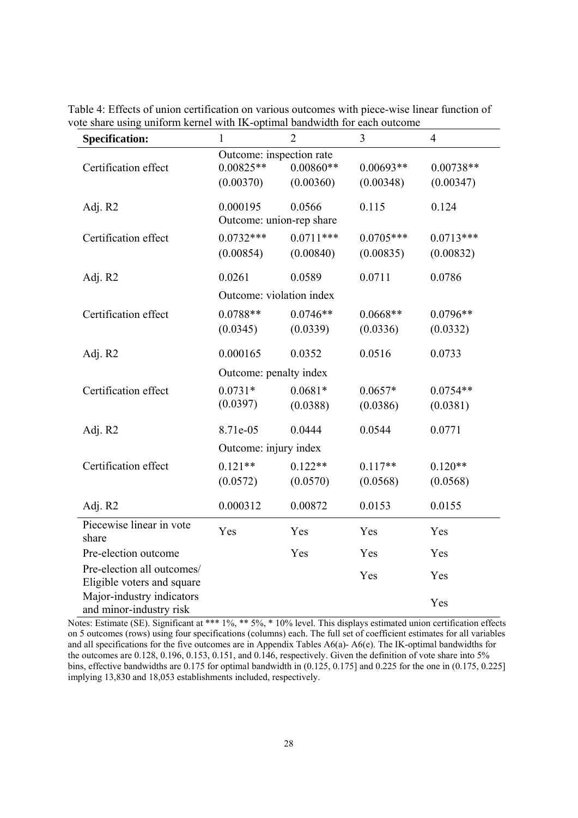| <b>Specification:</b>                                | 1                        | $\overline{2}$ | 3           | $\overline{4}$ |
|------------------------------------------------------|--------------------------|----------------|-------------|----------------|
|                                                      | Outcome: inspection rate |                |             |                |
| Certification effect                                 | $0.00825**$              | $0.00860**$    | $0.00693**$ | $0.00738**$    |
|                                                      | (0.00370)                | (0.00360)      | (0.00348)   | (0.00347)      |
| Adj. R2                                              | 0.000195                 | 0.0566         | 0.115       | 0.124          |
|                                                      | Outcome: union-rep share |                |             |                |
| Certification effect                                 | $0.0732***$              | $0.0711***$    | $0.0705***$ | $0.0713***$    |
|                                                      | (0.00854)                | (0.00840)      | (0.00835)   | (0.00832)      |
| Adj. R2                                              | 0.0261                   | 0.0589         | 0.0711      | 0.0786         |
|                                                      | Outcome: violation index |                |             |                |
| Certification effect                                 | $0.0788**$               | $0.0746**$     | $0.0668**$  | $0.0796**$     |
|                                                      | (0.0345)                 | (0.0339)       | (0.0336)    | (0.0332)       |
| Adj. R2                                              | 0.000165                 | 0.0352         | 0.0516      | 0.0733         |
|                                                      | Outcome: penalty index   |                |             |                |
| Certification effect                                 | $0.0731*$                | $0.0681*$      | $0.0657*$   | $0.0754**$     |
|                                                      | (0.0397)                 | (0.0388)       | (0.0386)    | (0.0381)       |
| Adj. R2                                              | 8.71e-05                 | 0.0444         | 0.0544      | 0.0771         |
|                                                      | Outcome: injury index    |                |             |                |
| Certification effect                                 | $0.121**$                | $0.122**$      | $0.117**$   | $0.120**$      |
|                                                      | (0.0572)                 | (0.0570)       | (0.0568)    | (0.0568)       |
| Adj. R2                                              | 0.000312                 | 0.00872        | 0.0153      | 0.0155         |
| Piecewise linear in vote<br>share                    | Yes                      | Yes            | Yes         | Yes            |
| Pre-election outcome                                 |                          | Yes            | Yes         | Yes            |
| Pre-election all outcomes/                           |                          |                | Yes         | Yes            |
| Eligible voters and square                           |                          |                |             |                |
| Major-industry indicators<br>and minor-industry risk |                          |                |             | Yes            |

Table 4: Effects of union certification on various outcomes with piece-wise linear function of vote share using uniform kernel with IK-optimal bandwidth for each outcome

Notes: Estimate (SE). Significant at \*\*\* 1%, \*\* 5%, \* 10% level. This displays estimated union certification effects on 5 outcomes (rows) using four specifications (columns) each. The full set of coefficient estimates for all variables and all specifications for the five outcomes are in Appendix Tables A6(a)- A6(e). The IK-optimal bandwidths for the outcomes are 0.128, 0.196, 0.153, 0.151, and 0.146, respectively. Given the definition of vote share into 5% bins, effective bandwidths are 0.175 for optimal bandwidth in (0.125, 0.175] and 0.225 for the one in (0.175, 0.225] implying 13,830 and 18,053 establishments included, respectively.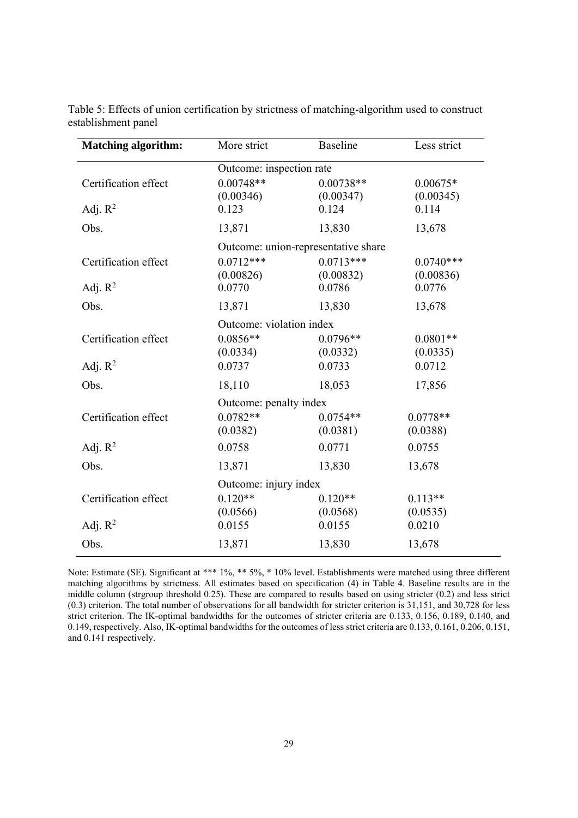| <b>Matching algorithm:</b> | More strict                         | <b>Baseline</b> | Less strict |
|----------------------------|-------------------------------------|-----------------|-------------|
|                            | Outcome: inspection rate            |                 |             |
| Certification effect       | $0.00748**$                         | $0.00738**$     | $0.00675*$  |
|                            | (0.00346)                           | (0.00347)       | (0.00345)   |
| Adj. $R^2$                 | 0.123                               | 0.124           | 0.114       |
| Obs.                       | 13,871                              | 13,830          | 13,678      |
|                            | Outcome: union-representative share |                 |             |
| Certification effect       | $0.0712***$                         | $0.0713***$     | $0.0740***$ |
|                            | (0.00826)                           | (0.00832)       | (0.00836)   |
| Adj. $R^2$                 | 0.0770                              | 0.0786          | 0.0776      |
| Obs.                       | 13,871                              | 13,830          | 13,678      |
|                            | Outcome: violation index            |                 |             |
| Certification effect       | $0.0856**$                          | $0.0796**$      | $0.0801**$  |
|                            | (0.0334)                            | (0.0332)        | (0.0335)    |
| Adj. $R^2$                 | 0.0737                              | 0.0733          | 0.0712      |
| Obs.                       | 18,110                              | 18,053          | 17,856      |
|                            | Outcome: penalty index              |                 |             |
| Certification effect       | $0.0782**$                          | $0.0754**$      | $0.0778**$  |
|                            | (0.0382)                            | (0.0381)        | (0.0388)    |
| Adj. $R^2$                 | 0.0758                              | 0.0771          | 0.0755      |
| Obs.                       | 13,871                              | 13,830          | 13,678      |
|                            | Outcome: injury index               |                 |             |
| Certification effect       | $0.120**$                           | $0.120**$       | $0.113**$   |
|                            | (0.0566)                            | (0.0568)        | (0.0535)    |
| Adj. $R^2$                 | 0.0155                              | 0.0155          | 0.0210      |
| Obs.                       | 13,871                              | 13,830          | 13,678      |

Table 5: Effects of union certification by strictness of matching-algorithm used to construct establishment panel

Note: Estimate (SE). Significant at \*\*\* 1%, \*\* 5%, \* 10% level. Establishments were matched using three different matching algorithms by strictness. All estimates based on specification (4) in Table 4. Baseline results are in the middle column (strgroup threshold 0.25). These are compared to results based on using stricter (0.2) and less strict (0.3) criterion. The total number of observations for all bandwidth for stricter criterion is 31,151, and 30,728 for less strict criterion. The IK-optimal bandwidths for the outcomes of stricter criteria are 0.133, 0.156, 0.189, 0.140, and 0.149, respectively. Also, IK-optimal bandwidths for the outcomes of less strict criteria are 0.133, 0.161, 0.206, 0.151, and 0.141 respectively.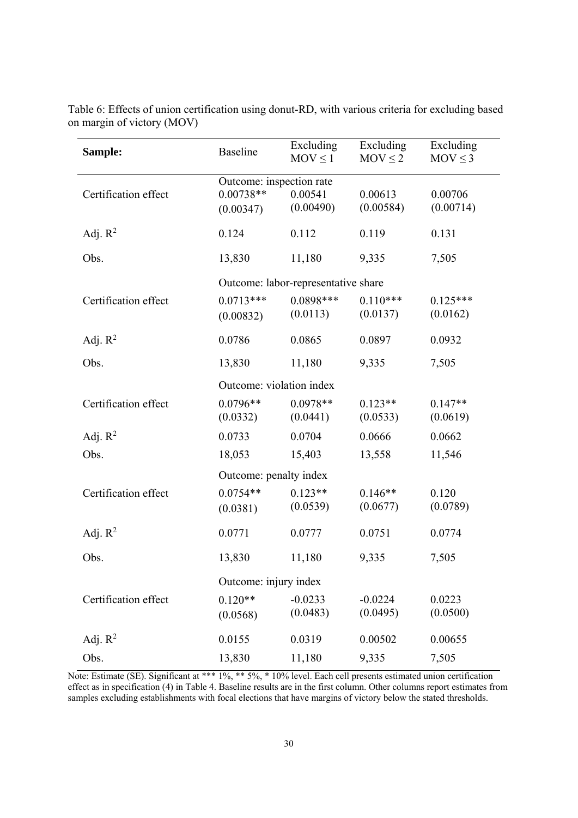| Sample:              | <b>Baseline</b>                                      | Excluding<br>$MOV \le 1$                                       | Excluding<br>$MOV \le 2$ | Excluding<br>$MOV \le 3$ |  |  |  |
|----------------------|------------------------------------------------------|----------------------------------------------------------------|--------------------------|--------------------------|--|--|--|
| Certification effect | Outcome: inspection rate<br>$0.00738**$<br>(0.00347) | 0.00541<br>(0.00490)                                           | 0.00613<br>(0.00584)     | 0.00706<br>(0.00714)     |  |  |  |
| Adj. $R^2$           | 0.124                                                | 0.112                                                          | 0.119                    | 0.131                    |  |  |  |
| Obs.                 | 13,830                                               | 11,180                                                         | 9,335                    | 7,505                    |  |  |  |
| Certification effect | $0.0713***$<br>(0.00832)                             | Outcome: labor-representative share<br>$0.0898***$<br>(0.0113) | $0.110***$<br>(0.0137)   | $0.125***$<br>(0.0162)   |  |  |  |
| Adj. $R^2$           | 0.0786                                               | 0.0865                                                         | 0.0897                   | 0.0932                   |  |  |  |
| Obs.                 | 13,830                                               | 11,180                                                         | 9,335                    | 7,505                    |  |  |  |
|                      | Outcome: violation index                             |                                                                |                          |                          |  |  |  |
| Certification effect | $0.0796**$<br>(0.0332)                               | $0.0978**$<br>(0.0441)                                         | $0.123**$<br>(0.0533)    | $0.147**$<br>(0.0619)    |  |  |  |
| Adj. $R^2$           | 0.0733                                               | 0.0704                                                         | 0.0666                   | 0.0662                   |  |  |  |
| Obs.                 | 18,053                                               | 15,403                                                         | 13,558                   | 11,546                   |  |  |  |
|                      | Outcome: penalty index                               |                                                                |                          |                          |  |  |  |
| Certification effect | $0.0754**$<br>(0.0381)                               | $0.123**$<br>(0.0539)                                          | $0.146**$<br>(0.0677)    | 0.120<br>(0.0789)        |  |  |  |
| Adj. $R^2$           | 0.0771                                               | 0.0777                                                         | 0.0751                   | 0.0774                   |  |  |  |
| Obs.                 | 13,830                                               | 11,180                                                         | 9,335                    | 7,505                    |  |  |  |
|                      | Outcome: injury index                                |                                                                |                          |                          |  |  |  |
| Certification effect | $0.120**$<br>(0.0568)                                | $-0.0233$<br>(0.0483)                                          | $-0.0224$<br>(0.0495)    | 0.0223<br>(0.0500)       |  |  |  |
| Adj. $R^2$           | 0.0155                                               | 0.0319                                                         | 0.00502                  | 0.00655                  |  |  |  |
| Obs.                 | 13,830                                               | 11,180                                                         | 9,335                    | 7,505                    |  |  |  |

Table 6: Effects of union certification using donut-RD, with various criteria for excluding based on margin of victory (MOV)

Note: Estimate (SE). Significant at \*\*\* 1%, \*\* 5%, \* 10% level. Each cell presents estimated union certification effect as in specification (4) in Table 4. Baseline results are in the first column. Other columns report estimates from samples excluding establishments with focal elections that have margins of victory below the stated thresholds.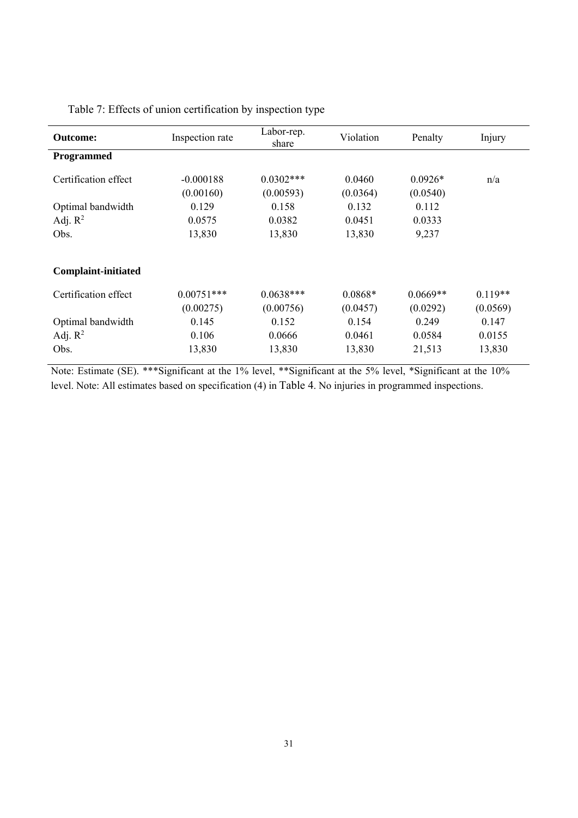| <b>Outcome:</b>            | Inspection rate | Labor-rep.<br>share | Violation | Penalty    | Injury    |
|----------------------------|-----------------|---------------------|-----------|------------|-----------|
| Programmed                 |                 |                     |           |            |           |
| Certification effect       | $-0.000188$     | $0.0302***$         | 0.0460    | $0.0926*$  | n/a       |
|                            | (0.00160)       | (0.00593)           | (0.0364)  | (0.0540)   |           |
| Optimal bandwidth          | 0.129           | 0.158               | 0.132     | 0.112      |           |
| Adj. $R^2$                 | 0.0575          | 0.0382              | 0.0451    | 0.0333     |           |
| Obs.                       | 13,830          | 13,830              | 13,830    | 9,237      |           |
| <b>Complaint-initiated</b> |                 |                     |           |            |           |
| Certification effect       | $0.00751***$    | $0.0638***$         | $0.0868*$ | $0.0669**$ | $0.119**$ |
|                            | (0.00275)       | (0.00756)           | (0.0457)  | (0.0292)   | (0.0569)  |
| Optimal bandwidth          | 0.145           | 0.152               | 0.154     | 0.249      | 0.147     |
| Adj. $R^2$                 | 0.106           | 0.0666              | 0.0461    | 0.0584     | 0.0155    |
| Obs.                       | 13,830          | 13,830              | 13,830    | 21,513     | 13,830    |

Table 7: Effects of union certification by inspection type

Note: Estimate (SE). \*\*\*Significant at the 1% level, \*\*Significant at the 5% level, \*Significant at the 10% level. Note: All estimates based on specification (4) in Table 4. No injuries in programmed inspections.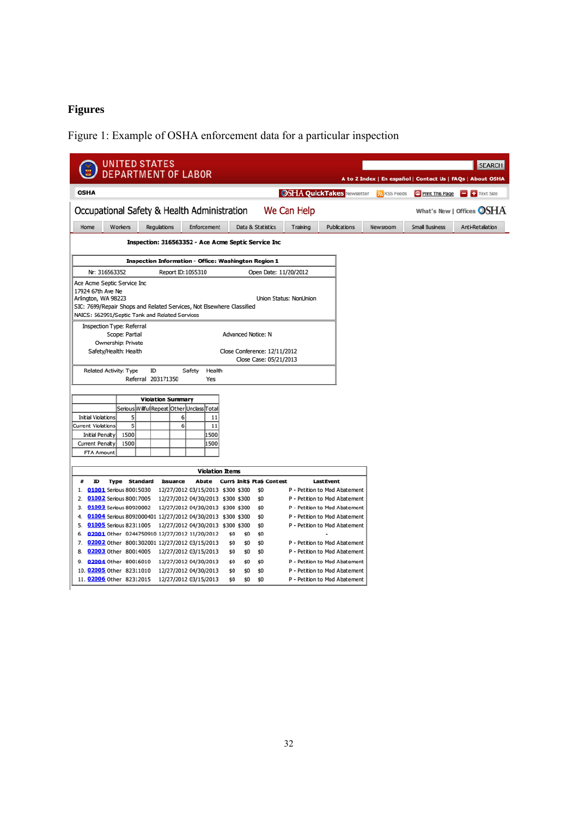# **Figures**

Figure 1: Example of OSHA enforcement data for a particular inspection

| <b>UNITED STATES</b>                                                                                                                                                                               |                                                        |                                   |           | <b>SEARCH</b>                                              |  |  |  |  |
|----------------------------------------------------------------------------------------------------------------------------------------------------------------------------------------------------|--------------------------------------------------------|-----------------------------------|-----------|------------------------------------------------------------|--|--|--|--|
| <b>DEPARTMENT OF LABOR</b>                                                                                                                                                                         |                                                        |                                   |           | A to Z Index   En español   Contact Us   FAQs   About OSHA |  |  |  |  |
| <b>OSHA</b>                                                                                                                                                                                        |                                                        | <b>OSHA QuickTakes Newsletter</b> | RSS Feeds | Print This Page<br>$\Box$ Text Size                        |  |  |  |  |
| Occupational Safety & Health Administration                                                                                                                                                        | We Can Help                                            |                                   |           | What's New   Offices $\bigcirc$ SHA                        |  |  |  |  |
| Workers<br>Home<br>Regulations<br>Enforcement                                                                                                                                                      | Data & Statistics                                      | Publications<br>Training          | Newsroom  | <b>Small Business</b><br>Anti-Retaliation                  |  |  |  |  |
|                                                                                                                                                                                                    | Inspection: 316563352 - Ace Acme Septic Service Inc    |                                   |           |                                                            |  |  |  |  |
|                                                                                                                                                                                                    |                                                        |                                   |           |                                                            |  |  |  |  |
| <b>Inspection Information - Office: Washington Region 1</b>                                                                                                                                        |                                                        |                                   |           |                                                            |  |  |  |  |
| Nr: 316563352<br>Report ID: 1055310                                                                                                                                                                | Open Date: 11/20/2012                                  |                                   |           |                                                            |  |  |  |  |
| Ace Acme Septic Service Inc<br>17924 67th Ave Ne<br>Arlington, WA 98223<br>SIC: 7699/Repair Shops and Related Services, Not Elsewhere Classified<br>NAICS: 562991/Septic Tank and Related Services | Union Status: NonUnion                                 |                                   |           |                                                            |  |  |  |  |
| Inspection Type: Referral<br>Scope: Partial<br>Ownership: Private                                                                                                                                  | Advanced Notice: N                                     |                                   |           |                                                            |  |  |  |  |
| Safety/Health: Health                                                                                                                                                                              | Close Conference: 12/11/2012<br>Close Case: 05/21/2013 |                                   |           |                                                            |  |  |  |  |
| Related Activity: Type<br>ID<br>Safety<br>Health<br>Referral 203171350<br>Yes                                                                                                                      |                                                        |                                   |           |                                                            |  |  |  |  |
|                                                                                                                                                                                                    |                                                        |                                   |           |                                                            |  |  |  |  |
| <b>Violation Summary</b>                                                                                                                                                                           |                                                        |                                   |           |                                                            |  |  |  |  |
| Serious Willful Repeat Other Unclass Total<br>$\overline{5}$<br>11<br>Initial Violations<br>6                                                                                                      |                                                        |                                   |           |                                                            |  |  |  |  |
| 5<br>6<br>11<br>Current Violations                                                                                                                                                                 |                                                        |                                   |           |                                                            |  |  |  |  |
| 1500<br>1500<br>Initial Penalty                                                                                                                                                                    |                                                        |                                   |           |                                                            |  |  |  |  |
| 1500<br>1500<br>Current Penalty                                                                                                                                                                    |                                                        |                                   |           |                                                            |  |  |  |  |
| FTA Amount                                                                                                                                                                                         |                                                        |                                   |           |                                                            |  |  |  |  |
|                                                                                                                                                                                                    | <b>Violation Items</b>                                 |                                   |           |                                                            |  |  |  |  |
| ID<br>#<br><b>Type Standard</b><br>Issuance<br>Abate                                                                                                                                               | Curr\$ Init\$ Pta\$ Contest                            | <b>Last Event</b>                 |           |                                                            |  |  |  |  |
| 01001 Serious 80015030<br>12/27/2012 03/15/2013 \$300 \$300<br>1.                                                                                                                                  | \$0                                                    | P - Petition to Mod Abatement     |           |                                                            |  |  |  |  |
| 01002 Serious 80017005<br>12/27/2012 04/30/2013 \$300 \$300<br>2.                                                                                                                                  | \$0                                                    | P - Petition to Mod Abatement     |           |                                                            |  |  |  |  |
| 3. 01003 Serious 80920002<br>12/27/2012 04/30/2013 \$300 \$300                                                                                                                                     | \$0                                                    | P - Petition to Mod Abatement     |           |                                                            |  |  |  |  |
| 01004 Serious 8092000401 12/27/2012 04/30/2013 \$300 \$300<br>4.                                                                                                                                   | \$0                                                    | P - Petition to Mod Abatement     |           |                                                            |  |  |  |  |
| 5. 01005 Serious 82311005<br>12/27/2012 04/30/2013 \$300 \$300                                                                                                                                     | \$0                                                    | P - Petition to Mod Abatement     |           |                                                            |  |  |  |  |
| 6. 02001 Other 0244750910 12/27/2012 11/20/2012                                                                                                                                                    | \$0<br>\$0<br>\$0                                      |                                   |           |                                                            |  |  |  |  |
| 7. 02002 Other 8001302001 12/27/2012 03/15/2013                                                                                                                                                    | \$0<br>\$0<br>\$0                                      | P - Petition to Mod Abatement     |           |                                                            |  |  |  |  |
| 02003 Other 80014005 12/27/2012 03/15/2013<br>8.                                                                                                                                                   | \$0<br>\$0<br>\$0                                      | P - Petition to Mod Abatement     |           |                                                            |  |  |  |  |
| 9. 02004 Other 80016010<br>12/27/2012 04/30/2013                                                                                                                                                   | \$0<br>\$0<br>\$0                                      | P - Petition to Mod Abatement     |           |                                                            |  |  |  |  |
| 10. 02005 Other 82311010<br>12/27/2012 04/30/2013                                                                                                                                                  | \$0<br>\$0<br>\$0                                      | P - Petition to Mod Abatement     |           |                                                            |  |  |  |  |
| 11. 02006 Other 82312015<br>12/27/2012 03/15/2013                                                                                                                                                  | \$0<br>\$0<br>\$0                                      | P - Petition to Mod Abatement     |           |                                                            |  |  |  |  |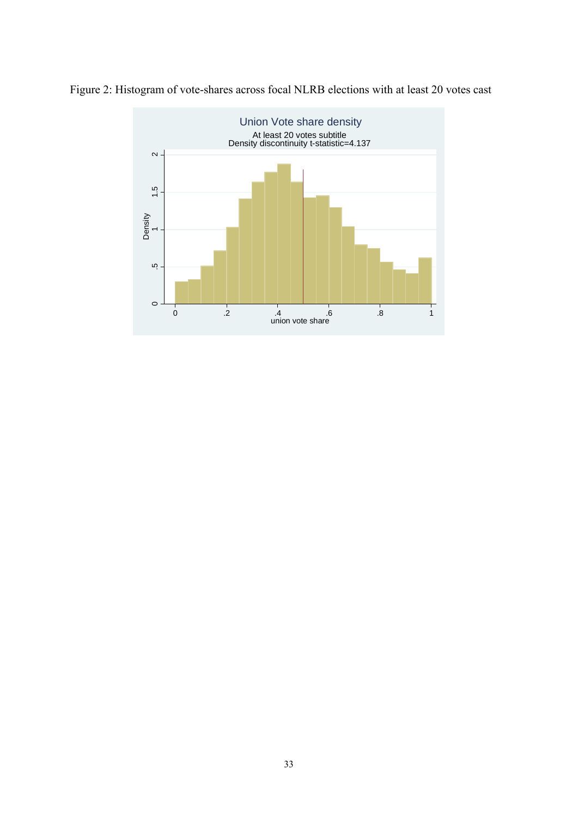

Figure 2: Histogram of vote-shares across focal NLRB elections with at least 20 votes cast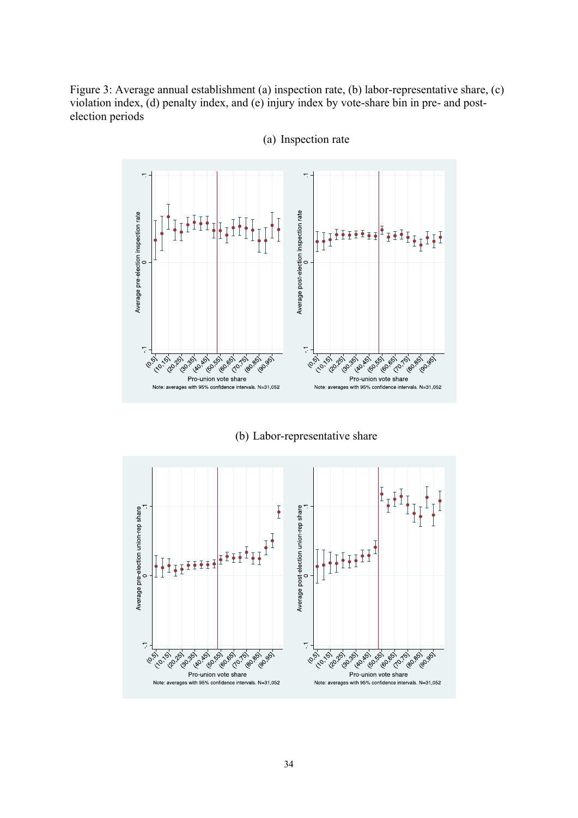Figure 3: Average annual establishment (a) inspection rate, (b) labor-representative share, (c) violation index, (d) penalty index, and (e) injury index by vote-share bin in pre- and postelection periods



(a) Inspection rate

(b) Labor-representative share

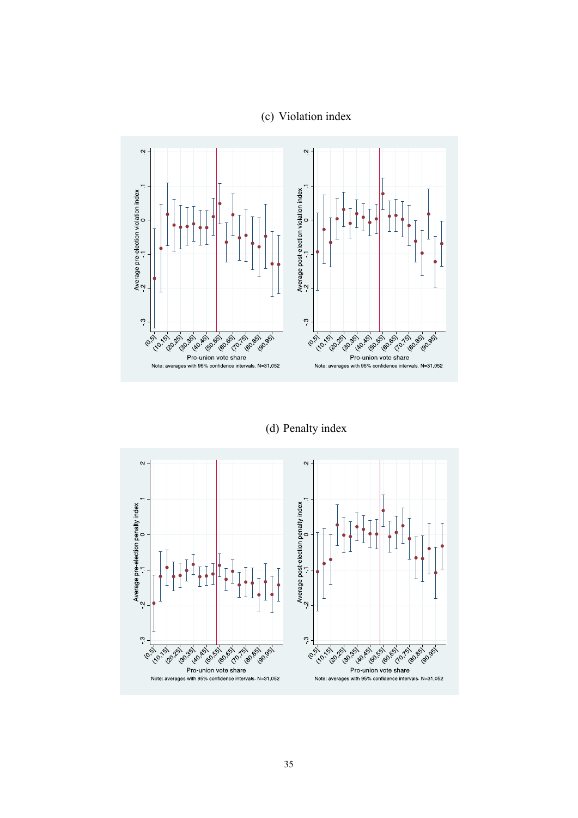## (c) Violation index



(d) Penalty index

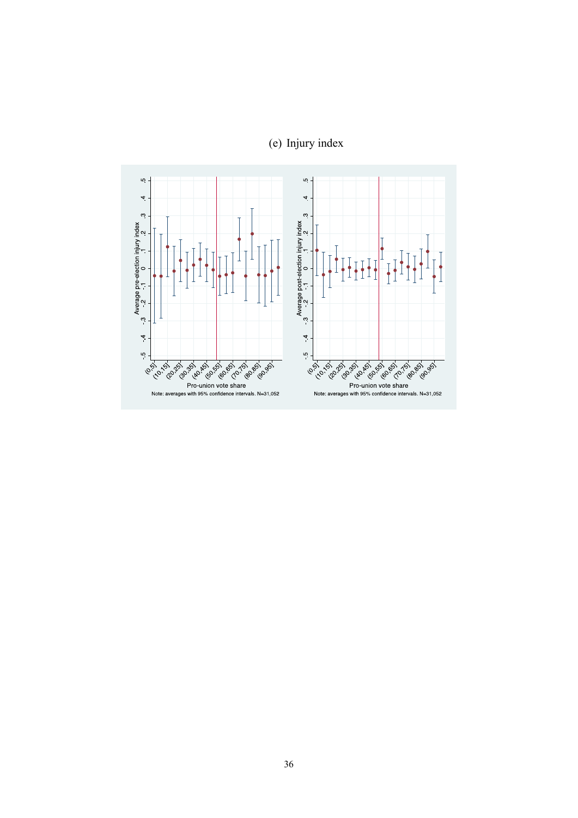

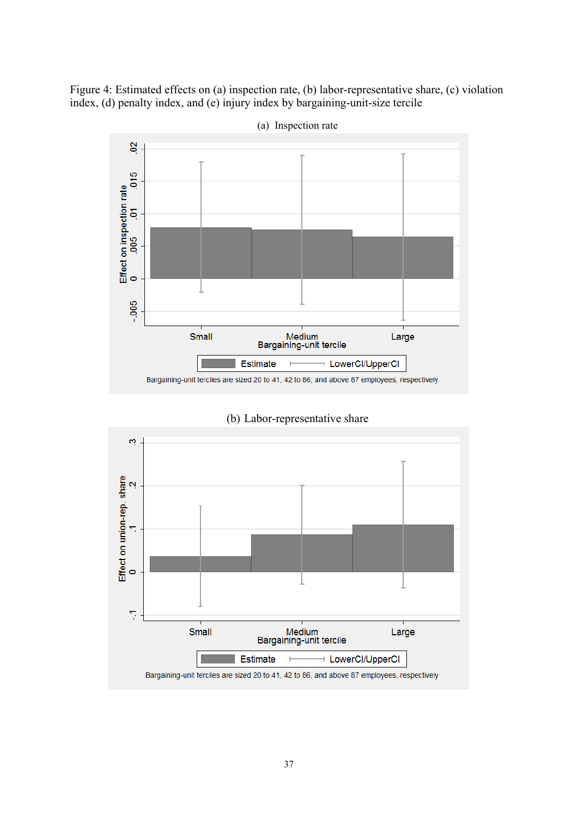Figure 4: Estimated effects on (a) inspection rate, (b) labor-representative share, (c) violation index, (d) penalty index, and (e) injury index by bargaining-unit-size tercile



(a) Inspection rate



(b) Labor-representative share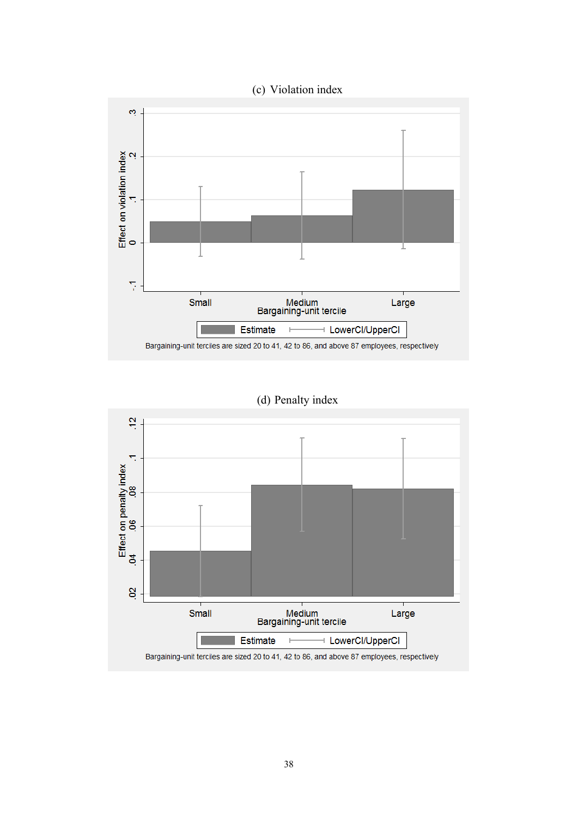

(d) Penalty index

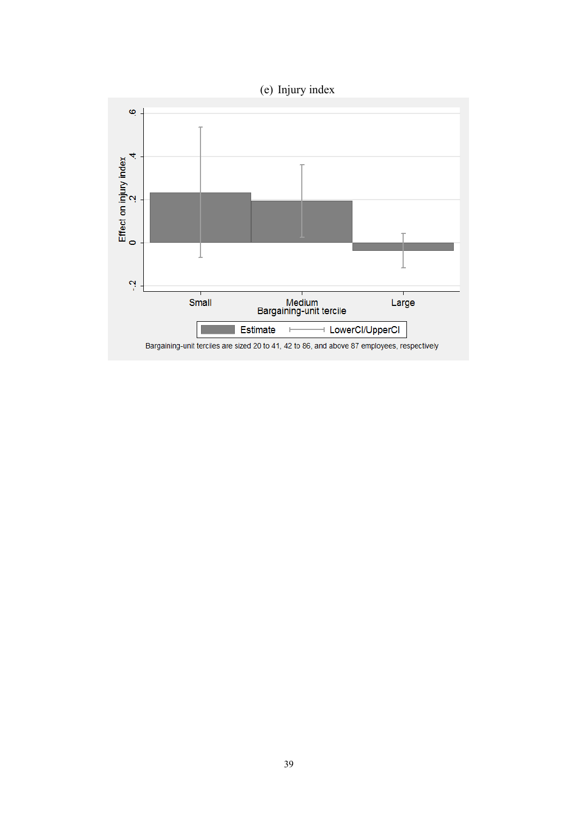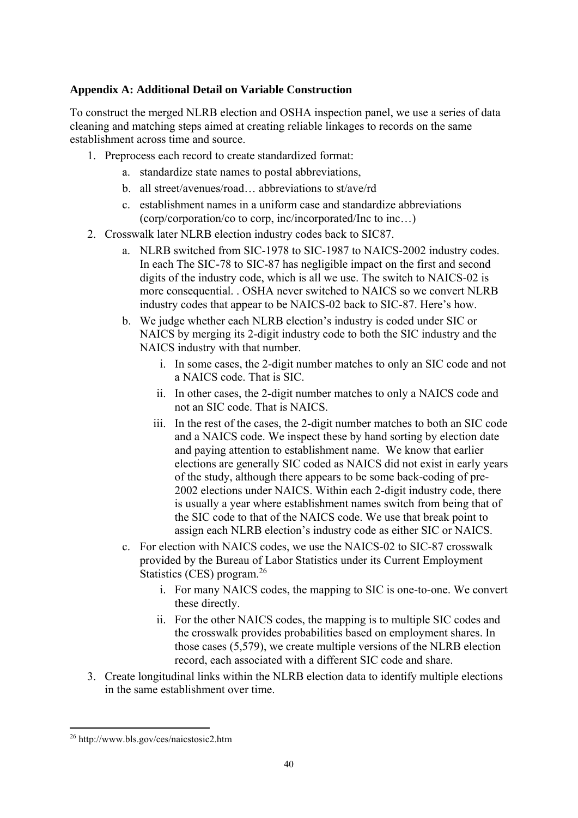### **Appendix A: Additional Detail on Variable Construction**

To construct the merged NLRB election and OSHA inspection panel, we use a series of data cleaning and matching steps aimed at creating reliable linkages to records on the same establishment across time and source.

- 1. Preprocess each record to create standardized format:
	- a. standardize state names to postal abbreviations,
	- b. all street/avenues/road… abbreviations to st/ave/rd
	- c. establishment names in a uniform case and standardize abbreviations (corp/corporation/co to corp, inc/incorporated/Inc to inc…)
- 2. Crosswalk later NLRB election industry codes back to SIC87.
	- a. NLRB switched from SIC-1978 to SIC-1987 to NAICS-2002 industry codes. In each The SIC-78 to SIC-87 has negligible impact on the first and second digits of the industry code, which is all we use. The switch to NAICS-02 is more consequential. . OSHA never switched to NAICS so we convert NLRB industry codes that appear to be NAICS-02 back to SIC-87. Here's how.
	- b. We judge whether each NLRB election's industry is coded under SIC or NAICS by merging its 2-digit industry code to both the SIC industry and the NAICS industry with that number.
		- i. In some cases, the 2-digit number matches to only an SIC code and not a NAICS code. That is SIC.
		- ii. In other cases, the 2-digit number matches to only a NAICS code and not an SIC code. That is NAICS.
		- iii. In the rest of the cases, the 2-digit number matches to both an SIC code and a NAICS code. We inspect these by hand sorting by election date and paying attention to establishment name. We know that earlier elections are generally SIC coded as NAICS did not exist in early years of the study, although there appears to be some back-coding of pre-2002 elections under NAICS. Within each 2-digit industry code, there is usually a year where establishment names switch from being that of the SIC code to that of the NAICS code. We use that break point to assign each NLRB election's industry code as either SIC or NAICS.
	- c. For election with NAICS codes, we use the NAICS-02 to SIC-87 crosswalk provided by the Bureau of Labor Statistics under its Current Employment Statistics (CES) program.<sup>26</sup>
		- i. For many NAICS codes, the mapping to SIC is one-to-one. We convert these directly.
		- ii. For the other NAICS codes, the mapping is to multiple SIC codes and the crosswalk provides probabilities based on employment shares. In those cases (5,579), we create multiple versions of the NLRB election record, each associated with a different SIC code and share.
- 3. Create longitudinal links within the NLRB election data to identify multiple elections in the same establishment over time.

 26 http://www.bls.gov/ces/naicstosic2.htm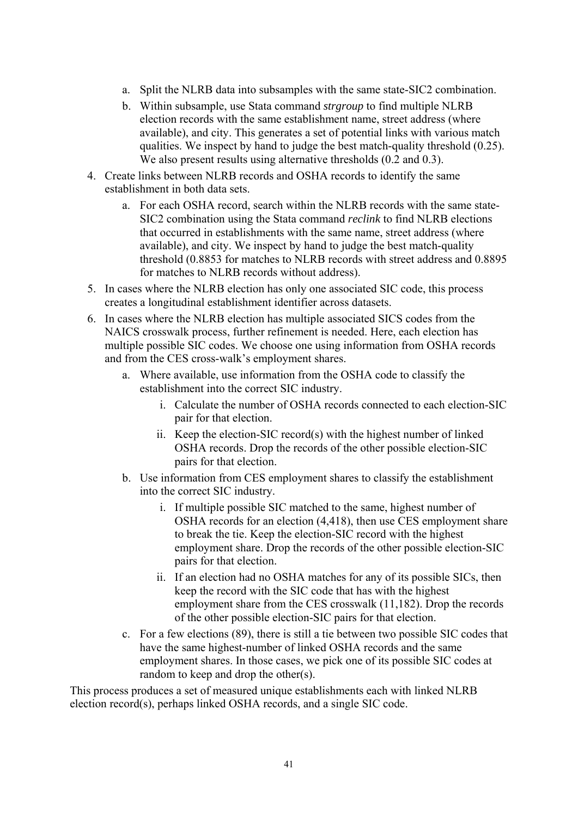- a. Split the NLRB data into subsamples with the same state-SIC2 combination.
- b. Within subsample, use Stata command *strgroup* to find multiple NLRB election records with the same establishment name, street address (where available), and city. This generates a set of potential links with various match qualities. We inspect by hand to judge the best match-quality threshold (0.25). We also present results using alternative thresholds  $(0.2 \text{ and } 0.3)$ .
- 4. Create links between NLRB records and OSHA records to identify the same establishment in both data sets.
	- a. For each OSHA record, search within the NLRB records with the same state-SIC2 combination using the Stata command *reclink* to find NLRB elections that occurred in establishments with the same name, street address (where available), and city. We inspect by hand to judge the best match-quality threshold (0.8853 for matches to NLRB records with street address and 0.8895 for matches to NLRB records without address).
- 5. In cases where the NLRB election has only one associated SIC code, this process creates a longitudinal establishment identifier across datasets.
- 6. In cases where the NLRB election has multiple associated SICS codes from the NAICS crosswalk process, further refinement is needed. Here, each election has multiple possible SIC codes. We choose one using information from OSHA records and from the CES cross-walk's employment shares.
	- a. Where available, use information from the OSHA code to classify the establishment into the correct SIC industry.
		- i. Calculate the number of OSHA records connected to each election-SIC pair for that election.
		- ii. Keep the election-SIC record(s) with the highest number of linked OSHA records. Drop the records of the other possible election-SIC pairs for that election.
	- b. Use information from CES employment shares to classify the establishment into the correct SIC industry.
		- i. If multiple possible SIC matched to the same, highest number of OSHA records for an election (4,418), then use CES employment share to break the tie. Keep the election-SIC record with the highest employment share. Drop the records of the other possible election-SIC pairs for that election.
		- ii. If an election had no OSHA matches for any of its possible SICs, then keep the record with the SIC code that has with the highest employment share from the CES crosswalk (11,182). Drop the records of the other possible election-SIC pairs for that election.
	- c. For a few elections (89), there is still a tie between two possible SIC codes that have the same highest-number of linked OSHA records and the same employment shares. In those cases, we pick one of its possible SIC codes at random to keep and drop the other(s).

This process produces a set of measured unique establishments each with linked NLRB election record(s), perhaps linked OSHA records, and a single SIC code.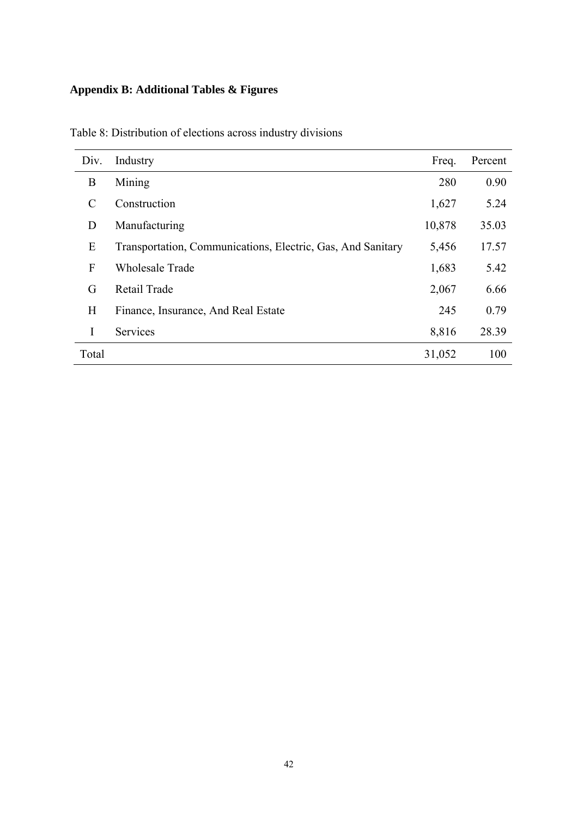# **Appendix B: Additional Tables & Figures**

| Div.           | Industry                                                    | Freq.  | Percent |
|----------------|-------------------------------------------------------------|--------|---------|
| B              | Mining                                                      | 280    | 0.90    |
|                | Construction                                                | 1,627  | 5.24    |
| D              | Manufacturing                                               | 10,878 | 35.03   |
| E              | Transportation, Communications, Electric, Gas, And Sanitary | 5,456  | 17.57   |
| $\overline{F}$ | <b>Wholesale Trade</b>                                      | 1,683  | 5.42    |
| G              | Retail Trade                                                | 2,067  | 6.66    |
| H              | Finance, Insurance, And Real Estate                         | 245    | 0.79    |
| I              | Services                                                    | 8,816  | 28.39   |
| Total          |                                                             | 31,052 | 100     |

Table 8: Distribution of elections across industry divisions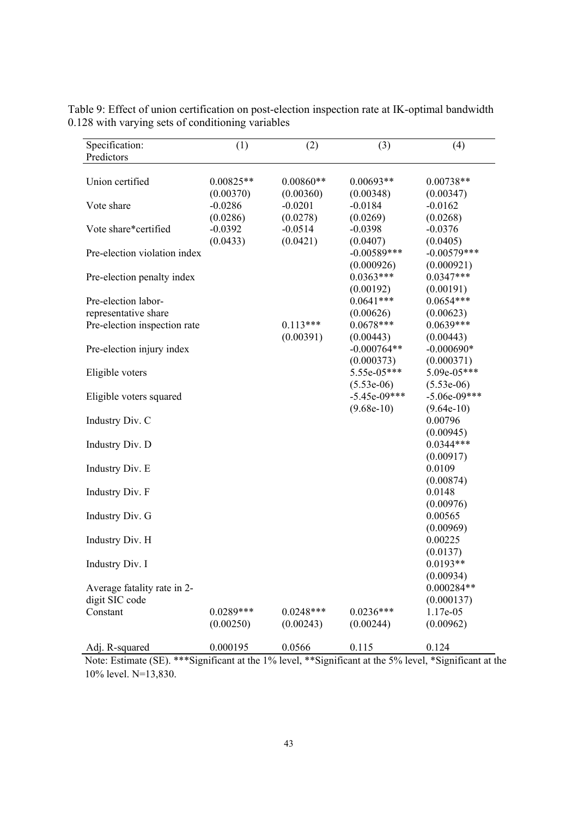| Specification:<br>Predictors                                                | (1)                               | (2)                               | (3)                                            | (4)                                         |
|-----------------------------------------------------------------------------|-----------------------------------|-----------------------------------|------------------------------------------------|---------------------------------------------|
|                                                                             |                                   |                                   |                                                |                                             |
| Union certified                                                             | $0.00825**$<br>(0.00370)          | $0.00860**$<br>(0.00360)          | $0.00693**$<br>(0.00348)                       | $0.00738**$<br>(0.00347)                    |
| Vote share                                                                  | $-0.0286$                         | $-0.0201$                         | $-0.0184$                                      | $-0.0162$<br>(0.0268)                       |
| Vote share*certified                                                        | (0.0286)<br>$-0.0392$<br>(0.0433) | (0.0278)<br>$-0.0514$<br>(0.0421) | (0.0269)<br>$-0.0398$<br>(0.0407)              | $-0.0376$<br>(0.0405)                       |
| Pre-election violation index                                                |                                   |                                   | $-0.00589***$<br>(0.000926)                    | $-0.00579***$<br>(0.000921)                 |
| Pre-election penalty index                                                  |                                   |                                   | $0.0363***$<br>(0.00192)                       | $0.0347***$<br>(0.00191)                    |
| Pre-election labor-<br>representative share<br>Pre-election inspection rate |                                   | $0.113***$                        | $0.0641***$<br>(0.00626)<br>$0.0678***$        | $0.0654***$<br>(0.00623)<br>$0.0639***$     |
| Pre-election injury index                                                   |                                   | (0.00391)                         | (0.00443)<br>$-0.000764**$                     | (0.00443)<br>$-0.000690*$                   |
| Eligible voters                                                             |                                   |                                   | (0.000373)<br>$5.55e-05***$                    | (0.000371)<br>$5.09e-05***$<br>$(5.53e-06)$ |
| Eligible voters squared                                                     |                                   |                                   | $(5.53e-06)$<br>$-5.45e-09***$<br>$(9.68e-10)$ | $-5.06e-09***$                              |
| Industry Div. C                                                             |                                   |                                   |                                                | $(9.64e-10)$<br>0.00796                     |
| Industry Div. D                                                             |                                   |                                   |                                                | (0.00945)<br>$0.0344***$<br>(0.00917)       |
| Industry Div. E                                                             |                                   |                                   |                                                | 0.0109<br>(0.00874)                         |
| Industry Div. F                                                             |                                   |                                   |                                                | 0.0148<br>(0.00976)                         |
| Industry Div. G                                                             |                                   |                                   |                                                | 0.00565                                     |
| Industry Div. H                                                             |                                   |                                   |                                                | (0.00969)<br>0.00225                        |
| Industry Div. I                                                             |                                   |                                   |                                                | (0.0137)<br>$0.0193**$                      |
| Average fatality rate in 2-<br>digit SIC code                               |                                   |                                   |                                                | (0.00934)<br>$0.000284**$<br>(0.000137)     |
| Constant                                                                    | $0.0289***$<br>(0.00250)          | $0.0248***$<br>(0.00243)          | $0.0236***$<br>(0.00244)                       | 1.17e-05<br>(0.00962)                       |
| Adj. R-squared                                                              | 0.000195                          | 0.0566                            | 0.115                                          | 0.124                                       |

Table 9: Effect of union certification on post-election inspection rate at IK-optimal bandwidth 0.128 with varying sets of conditioning variables

Note: Estimate (SE). \*\*\*Significant at the 1% level, \*\*Significant at the 5% level, \*Significant at the 10% level. N=13,830.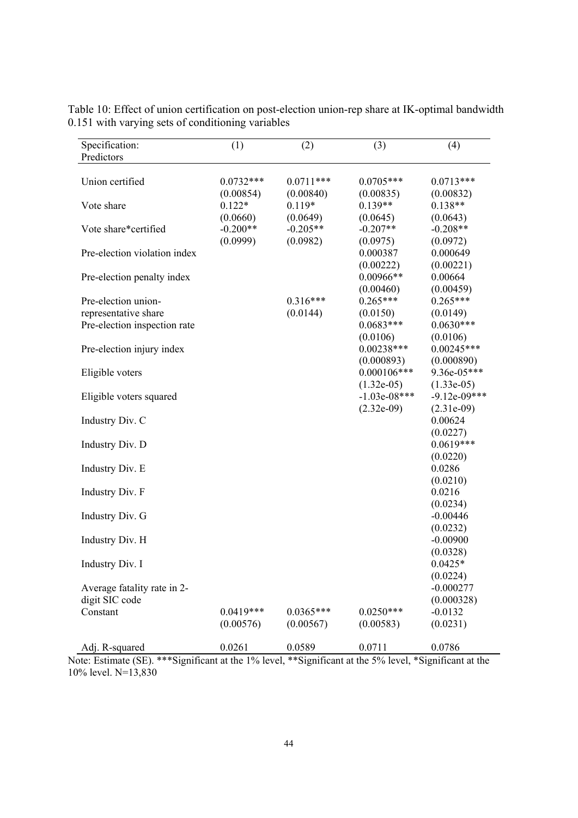| Specification:<br>Predictors | (1)         | (2)         | (3)            | (4)            |
|------------------------------|-------------|-------------|----------------|----------------|
|                              |             |             |                |                |
| Union certified              | $0.0732***$ | $0.0711***$ | $0.0705***$    | $0.0713***$    |
|                              | (0.00854)   | (0.00840)   | (0.00835)      | (0.00832)      |
| Vote share                   | $0.122*$    | $0.119*$    | $0.139**$      | $0.138**$      |
|                              | (0.0660)    | (0.0649)    | (0.0645)       | (0.0643)       |
| Vote share*certified         | $-0.200**$  | $-0.205**$  | $-0.207**$     | $-0.208**$     |
|                              | (0.0999)    | (0.0982)    | (0.0975)       | (0.0972)       |
| Pre-election violation index |             |             | 0.000387       | 0.000649       |
|                              |             |             | (0.00222)      | (0.00221)      |
| Pre-election penalty index   |             |             | $0.00966**$    | 0.00664        |
|                              |             |             | (0.00460)      | (0.00459)      |
| Pre-election union-          |             | $0.316***$  | $0.265***$     | $0.265***$     |
| representative share         |             | (0.0144)    | (0.0150)       | (0.0149)       |
| Pre-election inspection rate |             |             | $0.0683***$    | $0.0630***$    |
|                              |             |             | (0.0106)       | (0.0106)       |
| Pre-election injury index    |             |             | $0.00238***$   | $0.00245***$   |
|                              |             |             | (0.000893)     | (0.000890)     |
| Eligible voters              |             |             | $0.000106***$  | 9.36e-05***    |
|                              |             |             | $(1.32e-05)$   | $(1.33e-05)$   |
| Eligible voters squared      |             |             | $-1.03e-08***$ | $-9.12e-09***$ |
|                              |             |             | $(2.32e-09)$   | $(2.31e-09)$   |
| Industry Div. C              |             |             |                | 0.00624        |
|                              |             |             |                | (0.0227)       |
| Industry Div. D              |             |             |                | $0.0619***$    |
|                              |             |             |                | (0.0220)       |
| Industry Div. E              |             |             |                | 0.0286         |
|                              |             |             |                | (0.0210)       |
| Industry Div. F              |             |             |                | 0.0216         |
|                              |             |             |                | (0.0234)       |
| Industry Div. G              |             |             |                | $-0.00446$     |
|                              |             |             |                | (0.0232)       |
| Industry Div. H              |             |             |                | $-0.00900$     |
|                              |             |             |                | (0.0328)       |
| Industry Div. I              |             |             |                | $0.0425*$      |
|                              |             |             |                | (0.0224)       |
| Average fatality rate in 2-  |             |             |                | $-0.000277$    |
| digit SIC code               |             |             |                | (0.000328)     |
| Constant                     | $0.0419***$ | $0.0365***$ | $0.0250***$    | $-0.0132$      |
|                              | (0.00576)   | (0.00567)   | (0.00583)      | (0.0231)       |
|                              |             |             |                |                |
| Adj. R-squared               | 0.0261      | 0.0589      | 0.0711         | 0.0786         |

Table 10: Effect of union certification on post-election union-rep share at IK-optimal bandwidth 0.151 with varying sets of conditioning variables

Note: Estimate (SE). \*\*\*Significant at the 1% level, \*\*Significant at the 5% level, \*Significant at the 10% level. N=13,830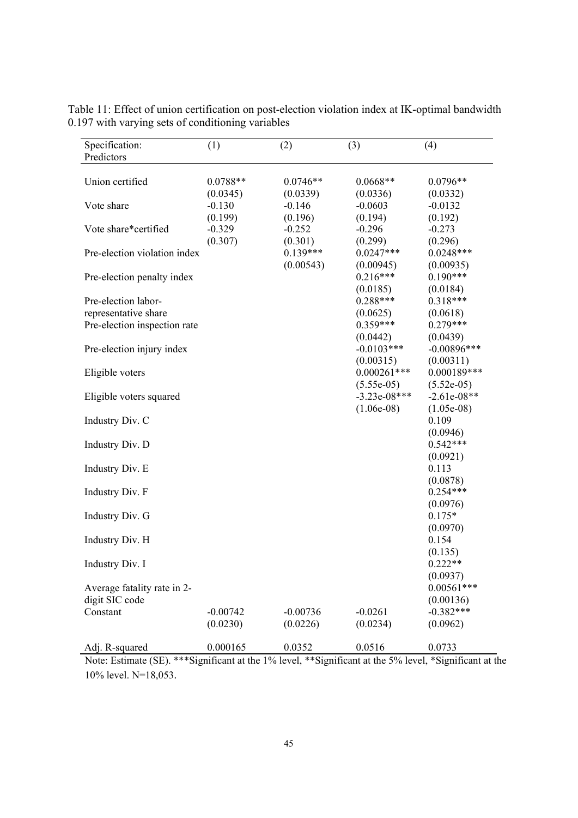| Specification:<br>Predictors | (1)        | (2)        | (3)            | (4)           |
|------------------------------|------------|------------|----------------|---------------|
|                              |            |            |                |               |
| Union certified              | $0.0788**$ | $0.0746**$ | $0.0668**$     | $0.0796**$    |
|                              | (0.0345)   | (0.0339)   | (0.0336)       | (0.0332)      |
| Vote share                   | $-0.130$   | $-0.146$   | $-0.0603$      | $-0.0132$     |
|                              | (0.199)    | (0.196)    | (0.194)        | (0.192)       |
| Vote share*certified         | $-0.329$   | $-0.252$   | $-0.296$       | $-0.273$      |
|                              | (0.307)    | (0.301)    | (0.299)        | (0.296)       |
| Pre-election violation index |            | $0.139***$ | $0.0247***$    | $0.0248***$   |
|                              |            | (0.00543)  | (0.00945)      | (0.00935)     |
| Pre-election penalty index   |            |            | $0.216***$     | $0.190***$    |
|                              |            |            | (0.0185)       | (0.0184)      |
| Pre-election labor-          |            |            | $0.288***$     | $0.318***$    |
| representative share         |            |            | (0.0625)       | (0.0618)      |
| Pre-election inspection rate |            |            | $0.359***$     | $0.279***$    |
|                              |            |            | (0.0442)       | (0.0439)      |
| Pre-election injury index    |            |            | $-0.0103***$   | $-0.00896***$ |
|                              |            |            | (0.00315)      | (0.00311)     |
| Eligible voters              |            |            | $0.000261***$  | $0.000189***$ |
|                              |            |            | $(5.55e-05)$   | $(5.52e-05)$  |
|                              |            |            | $-3.23e-08***$ | $-2.61e-08**$ |
| Eligible voters squared      |            |            |                |               |
|                              |            |            | $(1.06e-08)$   | $(1.05e-08)$  |
| Industry Div. C              |            |            |                | 0.109         |
|                              |            |            |                | (0.0946)      |
| Industry Div. D              |            |            |                | $0.542***$    |
|                              |            |            |                | (0.0921)      |
| Industry Div. E              |            |            |                | 0.113         |
|                              |            |            |                | (0.0878)      |
| Industry Div. F              |            |            |                | $0.254***$    |
|                              |            |            |                | (0.0976)      |
| Industry Div. G              |            |            |                | $0.175*$      |
|                              |            |            |                | (0.0970)      |
| Industry Div. H              |            |            |                | 0.154         |
|                              |            |            |                | (0.135)       |
| Industry Div. I              |            |            |                | $0.222**$     |
|                              |            |            |                | (0.0937)      |
| Average fatality rate in 2-  |            |            |                | $0.00561***$  |
| digit SIC code               |            |            |                | (0.00136)     |
| Constant                     | $-0.00742$ | $-0.00736$ | $-0.0261$      | $-0.382***$   |
|                              | (0.0230)   | (0.0226)   | (0.0234)       | (0.0962)      |
|                              |            |            |                |               |
| Adj. R-squared               | 0.000165   | 0.0352     | 0.0516         | 0.0733        |

Table 11: Effect of union certification on post-election violation index at IK-optimal bandwidth 0.197 with varying sets of conditioning variables

Note: Estimate (SE). \*\*\*Significant at the 1% level, \*\*Significant at the 5% level, \*Significant at the 10% level. N=18,053.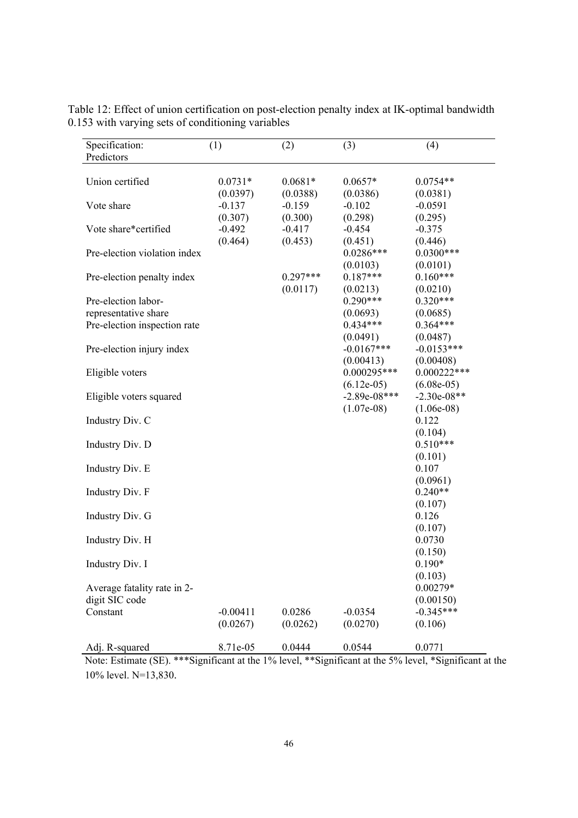| Specification:<br>Predictors | (1)        | (2)        | (3)            | (4)           |  |
|------------------------------|------------|------------|----------------|---------------|--|
|                              |            |            |                |               |  |
| Union certified              | $0.0731*$  | $0.0681*$  | $0.0657*$      | $0.0754**$    |  |
|                              | (0.0397)   | (0.0388)   | (0.0386)       | (0.0381)      |  |
| Vote share                   | $-0.137$   | $-0.159$   | $-0.102$       | $-0.0591$     |  |
|                              | (0.307)    | (0.300)    | (0.298)        | (0.295)       |  |
| Vote share*certified         | $-0.492$   | $-0.417$   | $-0.454$       | $-0.375$      |  |
|                              | (0.464)    | (0.453)    | (0.451)        | (0.446)       |  |
| Pre-election violation index |            |            | $0.0286***$    | $0.0300***$   |  |
|                              |            |            | (0.0103)       | (0.0101)      |  |
| Pre-election penalty index   |            | $0.297***$ | $0.187***$     | $0.160***$    |  |
|                              |            | (0.0117)   | (0.0213)       | (0.0210)      |  |
| Pre-election labor-          |            |            | $0.290***$     | $0.320***$    |  |
| representative share         |            |            | (0.0693)       | (0.0685)      |  |
| Pre-election inspection rate |            |            | $0.434***$     | $0.364***$    |  |
|                              |            |            | (0.0491)       | (0.0487)      |  |
| Pre-election injury index    |            |            | $-0.0167***$   | $-0.0153***$  |  |
|                              |            |            | (0.00413)      | (0.00408)     |  |
| Eligible voters              |            |            | $0.000295***$  | $0.000222***$ |  |
|                              |            |            | $(6.12e-05)$   | $(6.08e-05)$  |  |
| Eligible voters squared      |            |            | $-2.89e-08***$ | $-2.30e-08**$ |  |
|                              |            |            | $(1.07e-08)$   | $(1.06e-08)$  |  |
| Industry Div. C              |            |            |                | 0.122         |  |
|                              |            |            |                | (0.104)       |  |
| Industry Div. D              |            |            |                | $0.510***$    |  |
|                              |            |            |                | (0.101)       |  |
| Industry Div. E              |            |            |                | 0.107         |  |
|                              |            |            |                | (0.0961)      |  |
| Industry Div. F              |            |            |                | $0.240**$     |  |
|                              |            |            |                | (0.107)       |  |
| Industry Div. G              |            |            |                | 0.126         |  |
|                              |            |            |                | (0.107)       |  |
| Industry Div. H              |            |            |                | 0.0730        |  |
|                              |            |            |                | (0.150)       |  |
| Industry Div. I              |            |            |                | $0.190*$      |  |
|                              |            |            |                | (0.103)       |  |
| Average fatality rate in 2-  |            |            |                | $0.00279*$    |  |
| digit SIC code               |            |            |                | (0.00150)     |  |
| Constant                     | $-0.00411$ | 0.0286     | $-0.0354$      | $-0.345***$   |  |
|                              | (0.0267)   | (0.0262)   | (0.0270)       | (0.106)       |  |
|                              |            |            |                |               |  |
| Adj. R-squared               | 8.71e-05   | 0.0444     | 0.0544         | 0.0771        |  |

Table 12: Effect of union certification on post-election penalty index at IK-optimal bandwidth 0.153 with varying sets of conditioning variables

Note: Estimate (SE). \*\*\*Significant at the 1% level, \*\*Significant at the 5% level, \*Significant at the 10% level. N=13,830.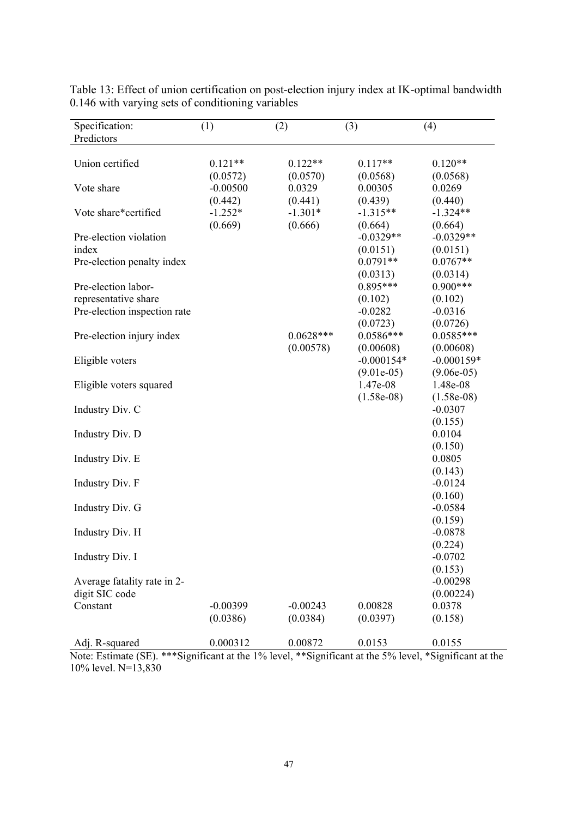| Specification:                                                              | (1)                   | (2)                      | (3)                                  | (4)                                          |
|-----------------------------------------------------------------------------|-----------------------|--------------------------|--------------------------------------|----------------------------------------------|
| Predictors                                                                  |                       |                          |                                      |                                              |
| Union certified                                                             | $0.121**$<br>(0.0572) | $0.122**$<br>(0.0570)    | $0.117**$<br>(0.0568)                | $0.120**$<br>(0.0568)                        |
| Vote share                                                                  | $-0.00500$<br>(0.442) | 0.0329<br>(0.441)        | 0.00305<br>(0.439)                   | 0.0269<br>(0.440)                            |
| Vote share*certified                                                        | $-1.252*$<br>(0.669)  | $-1.301*$<br>(0.666)     | $-1.315**$<br>(0.664)                | $-1.324**$<br>(0.664)                        |
| Pre-election violation<br>index                                             |                       |                          | $-0.0329**$<br>(0.0151)              | $-0.0329**$<br>(0.0151)                      |
| Pre-election penalty index                                                  |                       |                          | $0.0791**$<br>(0.0313)               | $0.0767**$<br>(0.0314)                       |
| Pre-election labor-<br>representative share<br>Pre-election inspection rate |                       |                          | $0.895***$<br>(0.102)<br>$-0.0282$   | $0.900***$<br>(0.102)<br>$-0.0316$           |
| Pre-election injury index                                                   |                       | $0.0628***$<br>(0.00578) | (0.0723)<br>$0.0586***$<br>(0.00608) | (0.0726)<br>$0.0585***$<br>(0.00608)         |
| Eligible voters                                                             |                       |                          | $-0.000154*$                         | $-0.000159*$                                 |
| Eligible voters squared                                                     |                       |                          | $(9.01e-05)$<br>1.47e-08             | $(9.06e-05)$<br>1.48e-08                     |
| Industry Div. C                                                             |                       |                          | $(1.58e-08)$                         | $(1.58e-08)$<br>$-0.0307$                    |
| Industry Div. D                                                             |                       |                          |                                      | (0.155)<br>0.0104                            |
| Industry Div. E                                                             |                       |                          |                                      | (0.150)<br>0.0805                            |
| Industry Div. F                                                             |                       |                          |                                      | (0.143)<br>$-0.0124$                         |
| Industry Div. G                                                             |                       |                          |                                      | (0.160)<br>$-0.0584$                         |
| Industry Div. H                                                             |                       |                          |                                      | (0.159)<br>$-0.0878$                         |
| Industry Div. I                                                             |                       |                          |                                      | (0.224)<br>$-0.0702$                         |
| Average fatality rate in 2-<br>digit SIC code<br>Constant                   | $-0.00399$            | $-0.00243$               | 0.00828                              | (0.153)<br>$-0.00298$<br>(0.00224)<br>0.0378 |
| Adj. R-squared                                                              | (0.0386)<br>0.000312  | (0.0384)<br>0.00872      | (0.0397)<br>0.0153                   | (0.158)<br>0.0155                            |

Table 13: Effect of union certification on post-election injury index at IK-optimal bandwidth 0.146 with varying sets of conditioning variables

Note: Estimate (SE). \*\*\*Significant at the 1% level, \*\*Significant at the 5% level, \*Significant at the 10% level. N=13,830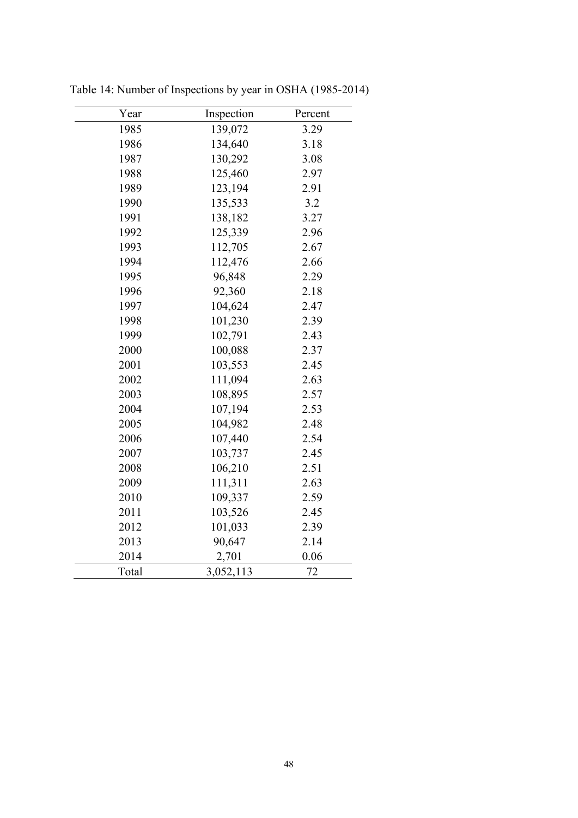| Year  | Inspection | Percent |
|-------|------------|---------|
| 1985  | 139,072    | 3.29    |
| 1986  | 134,640    | 3.18    |
| 1987  | 130,292    | 3.08    |
| 1988  | 125,460    | 2.97    |
| 1989  | 123,194    | 2.91    |
| 1990  | 135,533    | 3.2     |
| 1991  | 138,182    | 3.27    |
| 1992  | 125,339    | 2.96    |
| 1993  | 112,705    | 2.67    |
| 1994  | 112,476    | 2.66    |
| 1995  | 96,848     | 2.29    |
| 1996  | 92,360     | 2.18    |
| 1997  | 104,624    | 2.47    |
| 1998  | 101,230    | 2.39    |
| 1999  | 102,791    | 2.43    |
| 2000  | 100,088    | 2.37    |
| 2001  | 103,553    | 2.45    |
| 2002  | 111,094    | 2.63    |
| 2003  | 108,895    | 2.57    |
| 2004  | 107,194    | 2.53    |
| 2005  | 104,982    | 2.48    |
| 2006  | 107,440    | 2.54    |
| 2007  | 103,737    | 2.45    |
| 2008  | 106,210    | 2.51    |
| 2009  | 111,311    | 2.63    |
| 2010  | 109,337    | 2.59    |
| 2011  | 103,526    | 2.45    |
| 2012  | 101,033    | 2.39    |
| 2013  | 90,647     | 2.14    |
| 2014  | 2,701      | 0.06    |
| Total | 3,052,113  | 72      |

Table 14: Number of Inspections by year in OSHA (1985-2014)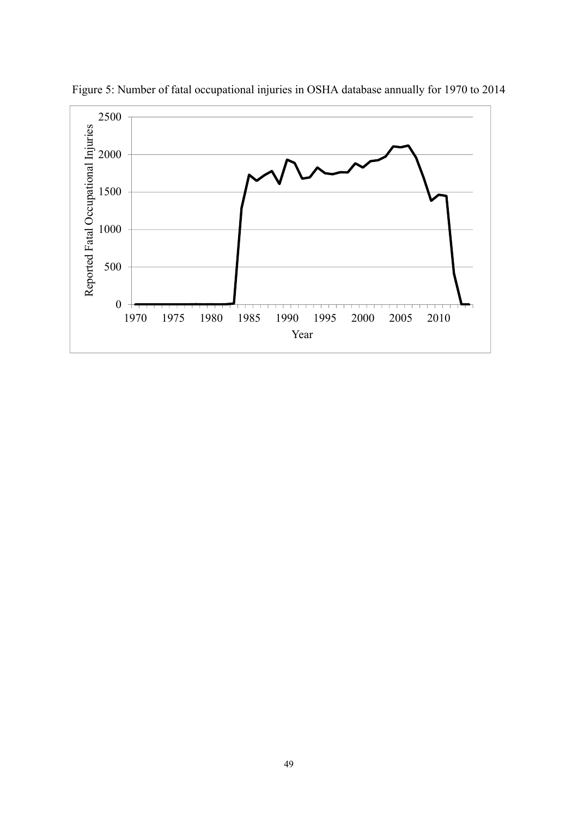

Figure 5: Number of fatal occupational injuries in OSHA database annually for 1970 to 2014